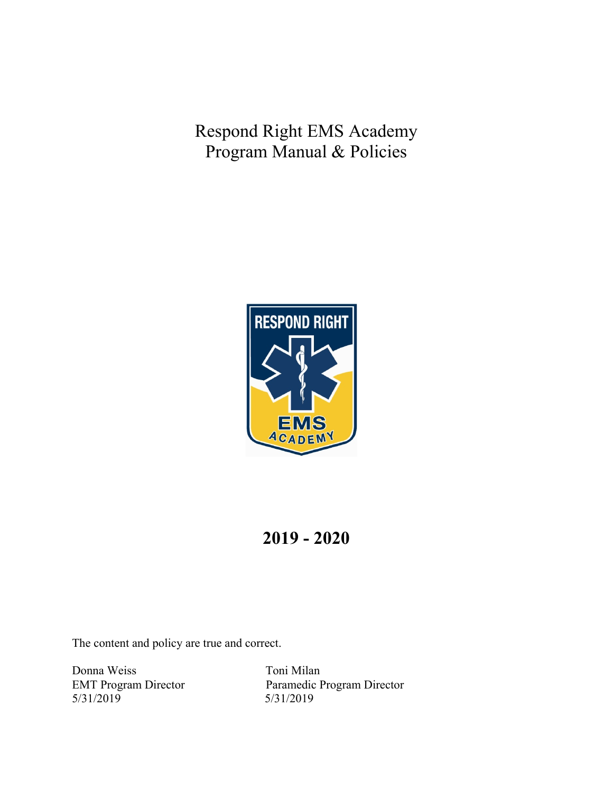Respond Right EMS Academy Program Manual & Policies



# **2019 - 2020**

The content and policy are true and correct.

Donna Weiss<br>
EMT Program Director<br>
Paramedic I 5/31/2019 5/31/2019

Paramedic Program Director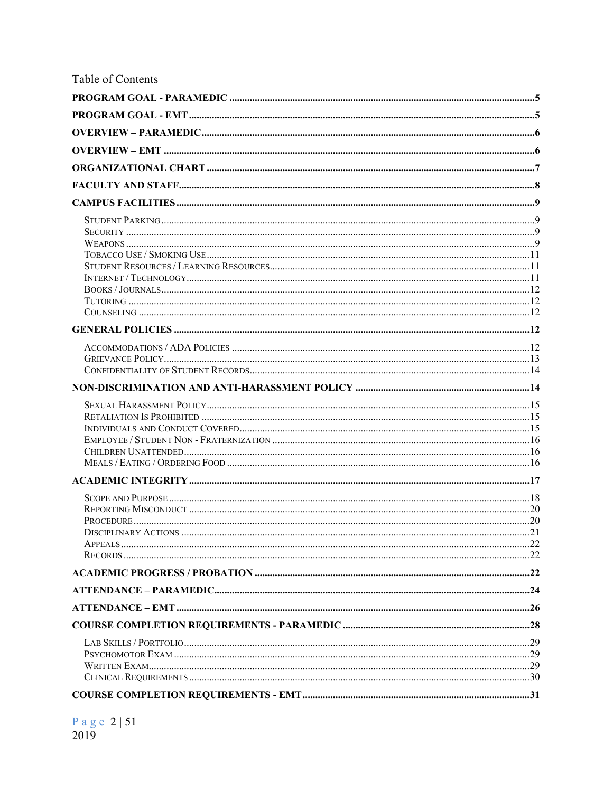| Table of Contents |  |
|-------------------|--|
|                   |  |
|                   |  |
|                   |  |
|                   |  |
|                   |  |
|                   |  |
|                   |  |
|                   |  |
|                   |  |
|                   |  |
|                   |  |
|                   |  |
|                   |  |
|                   |  |
|                   |  |
|                   |  |
|                   |  |
|                   |  |
|                   |  |
|                   |  |
|                   |  |
|                   |  |
|                   |  |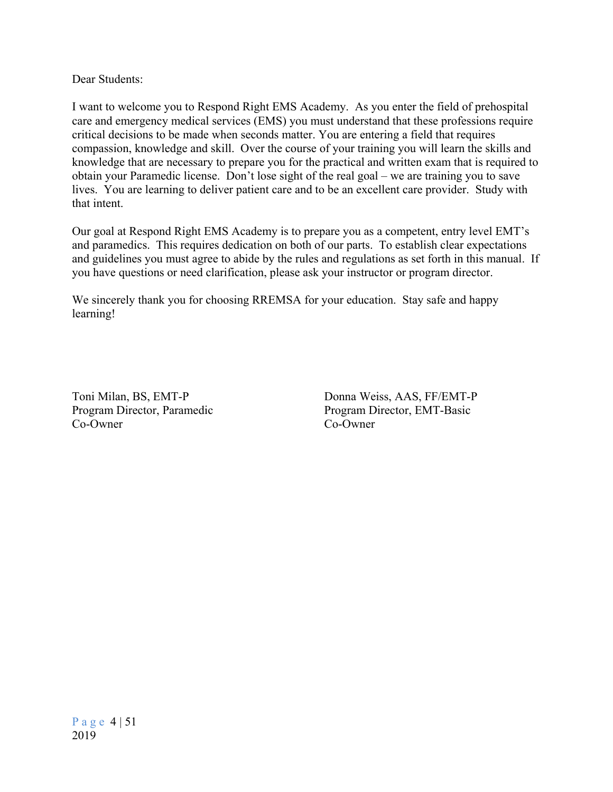#### Dear Students:

I want to welcome you to Respond Right EMS Academy. As you enter the field of prehospital care and emergency medical services (EMS) you must understand that these professions require critical decisions to be made when seconds matter. You are entering a field that requires compassion, knowledge and skill. Over the course of your training you will learn the skills and knowledge that are necessary to prepare you for the practical and written exam that is required to obtain your Paramedic license. Don't lose sight of the real goal – we are training you to save lives. You are learning to deliver patient care and to be an excellent care provider. Study with that intent.

Our goal at Respond Right EMS Academy is to prepare you as a competent, entry level EMT's and paramedics. This requires dedication on both of our parts. To establish clear expectations and guidelines you must agree to abide by the rules and regulations as set forth in this manual. If you have questions or need clarification, please ask your instructor or program director.

We sincerely thank you for choosing RREMSA for your education. Stay safe and happy learning!

Co-Owner Co-Owner

Toni Milan, BS, EMT-P Donna Weiss, AAS, FF/EMT-P Program Director, Paramedic Program Director, EMT-Basic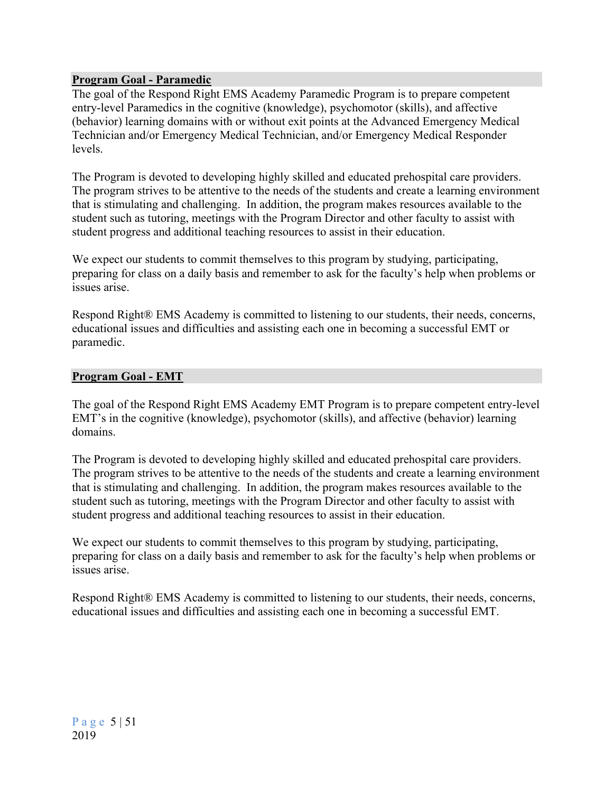#### <span id="page-4-0"></span>**Program Goal - Paramedic**

The goal of the Respond Right EMS Academy Paramedic Program is to prepare competent entry-level Paramedics in the cognitive (knowledge), psychomotor (skills), and affective (behavior) learning domains with or without exit points at the Advanced Emergency Medical Technician and/or Emergency Medical Technician, and/or Emergency Medical Responder levels.

The Program is devoted to developing highly skilled and educated prehospital care providers. The program strives to be attentive to the needs of the students and create a learning environment that is stimulating and challenging. In addition, the program makes resources available to the student such as tutoring, meetings with the Program Director and other faculty to assist with student progress and additional teaching resources to assist in their education.

We expect our students to commit themselves to this program by studying, participating, preparing for class on a daily basis and remember to ask for the faculty's help when problems or issues arise.

Respond Right® EMS Academy is committed to listening to our students, their needs, concerns, educational issues and difficulties and assisting each one in becoming a successful EMT or paramedic.

### <span id="page-4-1"></span>**Program Goal - EMT**

The goal of the Respond Right EMS Academy EMT Program is to prepare competent entry-level EMT's in the cognitive (knowledge), psychomotor (skills), and affective (behavior) learning domains.

The Program is devoted to developing highly skilled and educated prehospital care providers. The program strives to be attentive to the needs of the students and create a learning environment that is stimulating and challenging. In addition, the program makes resources available to the student such as tutoring, meetings with the Program Director and other faculty to assist with student progress and additional teaching resources to assist in their education.

We expect our students to commit themselves to this program by studying, participating, preparing for class on a daily basis and remember to ask for the faculty's help when problems or issues arise.

Respond Right® EMS Academy is committed to listening to our students, their needs, concerns, educational issues and difficulties and assisting each one in becoming a successful EMT.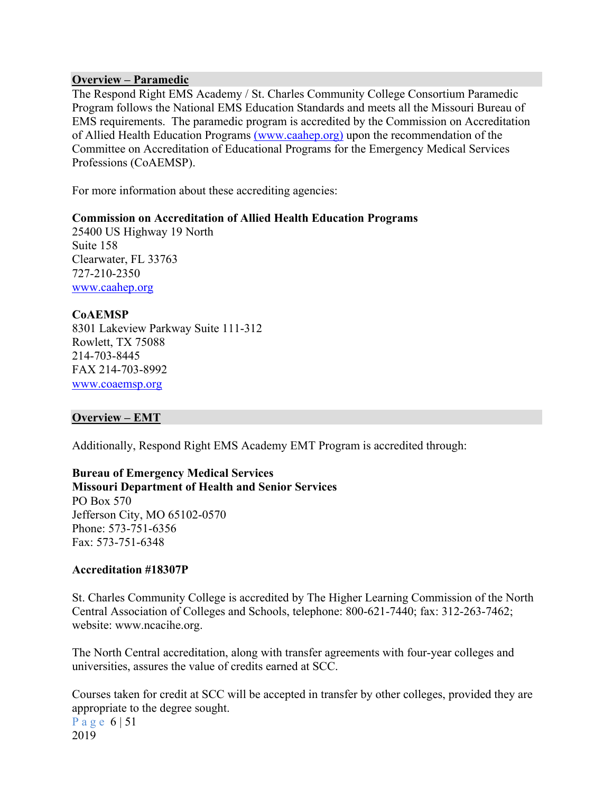#### <span id="page-5-0"></span>**Overview – Paramedic**

The Respond Right EMS Academy / St. Charles Community College Consortium Paramedic Program follows the National EMS Education Standards and meets all the Missouri Bureau of EMS requirements. The paramedic program is accredited by the Commission on Accreditation of Allied Health Education Programs [\(www.caahep.org\)](http://www.caahep.org/) upon the recommendation of the Committee on Accreditation of Educational Programs for the Emergency Medical Services Professions (CoAEMSP).

For more information about these accrediting agencies:

#### **Commission on Accreditation of Allied Health Education Programs**

25400 US Highway 19 North Suite 158 Clearwater, FL 33763 727-210-2350 [www.caahep.org](http://www.caahep.org/)

### **CoAEMSP**

8301 Lakeview Parkway Suite 111-312 Rowlett, TX 75088 214-703-8445 FAX 214-703-8992 [www.coaemsp.org](http://www.coaemsp.org/)

#### <span id="page-5-1"></span>**Overview – EMT**

Additionally, Respond Right EMS Academy EMT Program is accredited through:

**Bureau of Emergency Medical Services Missouri Department of Health and Senior Services** PO Box 570 Jefferson City, MO 65102-0570 Phone: 573-751-6356 Fax: 573-751-6348

#### **Accreditation #18307P**

St. Charles Community College is accredited by The Higher Learning Commission of the North Central Association of Colleges and Schools, telephone: 800-621-7440; fax: 312-263-7462; website: [www.ncacihe.org.](http://www.ncacihe.org/)

The North Central accreditation, along with transfer agreements with four-year colleges and universities, assures the value of credits earned at SCC.

Page 6 | 51 2019 Courses taken for credit at SCC will be accepted in transfer by other colleges, provided they are appropriate to the degree sought.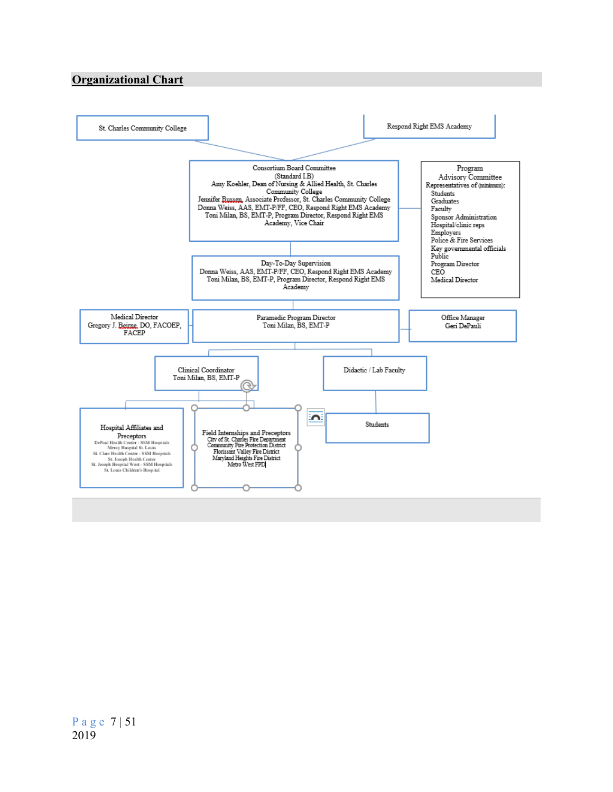#### <span id="page-6-0"></span>**Organizational Chart**

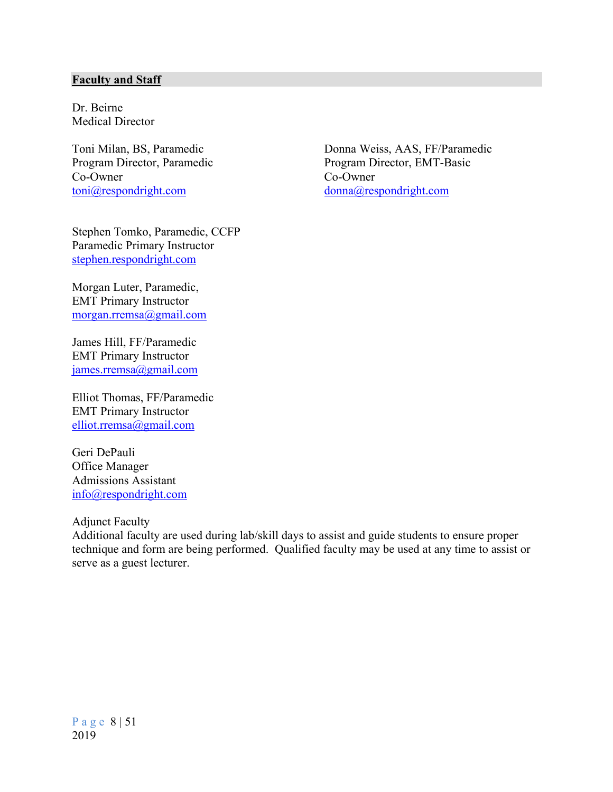#### <span id="page-7-0"></span>**Faculty and Staff**

Dr. Beirne Medical Director

Co-Owner [toni@respondright.com](mailto:toni@respondright.com) [donna@respondright.com](mailto:ailto:donna@respondright.com)

Toni Milan, BS, Paramedic Donna Weiss, AAS, FF/Paramedic Program Director, Paramedic Program Director, EMT-Basic<br>Co-Owner Co-Owner

Stephen Tomko, Paramedic, CCFP Paramedic Primary Instructor [stephen.respondright.com](mailto:stephen.respondright@gmail.com)

Morgan Luter, Paramedic, EMT Primary Instructor [morgan.rremsa@gmail.com](mailto:morgan.rremsa@gmail.com)

James Hill, FF/Paramedic EMT Primary Instructor [james.rremsa@gmail.com](mailto:james.rremsa@gmail.com)

Elliot Thomas, FF/Paramedic EMT Primary Instructor [elliot.rremsa@gmail.com](mailto:elliot.rremsa@gmail.com)

Geri DePauli Office Manager Admissions Assistant [info@respondright.com](mailto:info@respondright.com)

Adjunct Faculty

Additional faculty are used during lab/skill days to assist and guide students to ensure proper technique and form are being performed. Qualified faculty may be used at any time to assist or serve as a guest lecturer.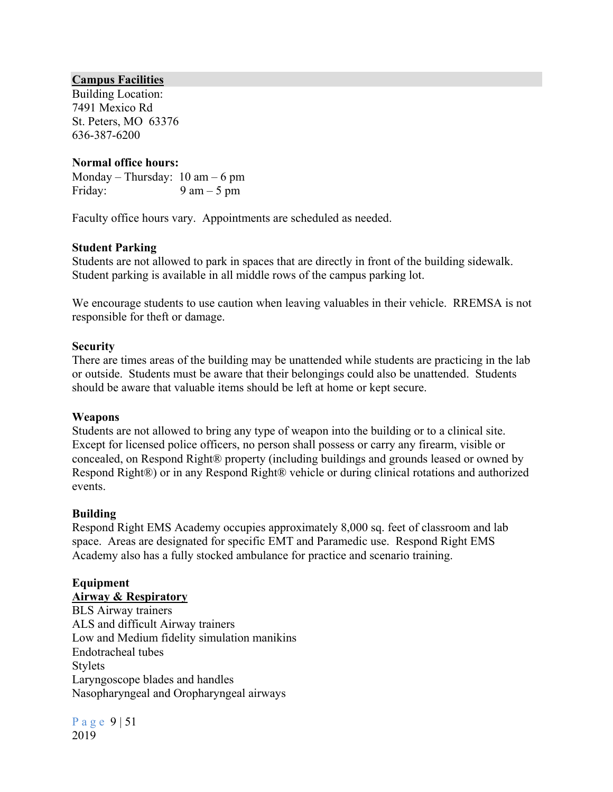## <span id="page-8-0"></span>**Campus Facilities**

Building Location: 7491 Mexico Rd St. Peters, MO 63376 636-387-6200

#### **Normal office hours:**

Monday – Thursday:  $10 \text{ am} - 6 \text{ pm}$ Friday:  $9 \text{ am} - 5 \text{ pm}$ 

Faculty office hours vary. Appointments are scheduled as needed.

#### <span id="page-8-1"></span>**Student Parking**

Students are not allowed to park in spaces that are directly in front of the building sidewalk. Student parking is available in all middle rows of the campus parking lot.

We encourage students to use caution when leaving valuables in their vehicle. RREMSA is not responsible for theft or damage.

#### <span id="page-8-2"></span>**Security**

There are times areas of the building may be unattended while students are practicing in the lab or outside. Students must be aware that their belongings could also be unattended. Students should be aware that valuable items should be left at home or kept secure.

#### <span id="page-8-3"></span>**Weapons**

Students are not allowed to bring any type of weapon into the building or to a clinical site. Except for licensed police officers, no person shall possess or carry any firearm, visible or concealed, on Respond Right® property (including buildings and grounds leased or owned by Respond Right®) or in any Respond Right® vehicle or during clinical rotations and authorized events.

#### **Building**

Respond Right EMS Academy occupies approximately 8,000 sq. feet of classroom and lab space. Areas are designated for specific EMT and Paramedic use. Respond Right EMS Academy also has a fully stocked ambulance for practice and scenario training.

## **Equipment**

**Airway & Respiratory** 

BLS Airway trainers ALS and difficult Airway trainers Low and Medium fidelity simulation manikins Endotracheal tubes Stylets Laryngoscope blades and handles Nasopharyngeal and Oropharyngeal airways

Page 9 | 51 2019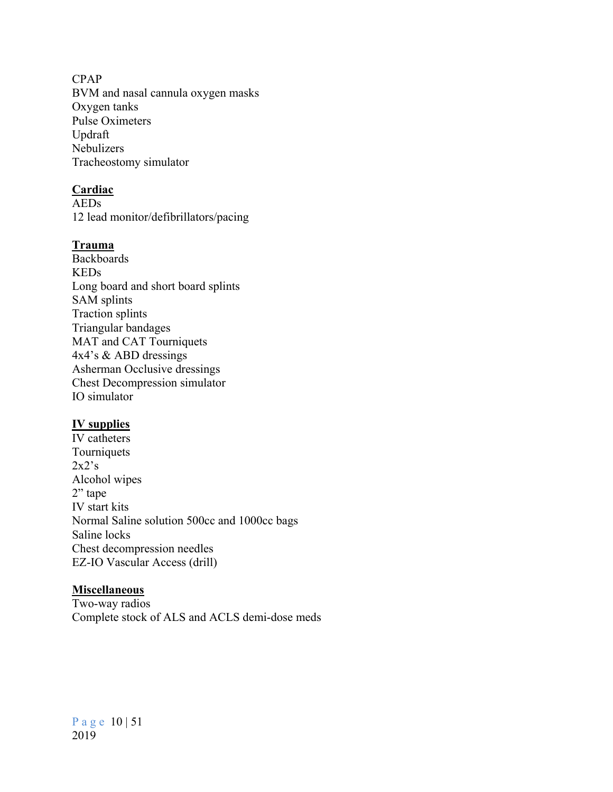CPAP

BVM and nasal cannula oxygen masks Oxygen tanks Pulse Oximeters Updraft Nebulizers Tracheostomy simulator

### **Cardiac**

AEDs 12 lead monitor/defibrillators/pacing

### **Trauma**

Backboards KEDs Long board and short board splints SAM splints Traction splints Triangular bandages MAT and CAT Tourniquets 4x4's & ABD dressings Asherman Occlusive dressings Chest Decompression simulator IO simulator

## **IV supplies**

IV catheters Tourniquets  $2x2's$ Alcohol wipes 2" tape IV start kits Normal Saline solution 500cc and 1000cc bags Saline locks Chest decompression needles EZ-IO Vascular Access (drill)

#### **Miscellaneous**

Two-way radios Complete stock of ALS and ACLS demi-dose meds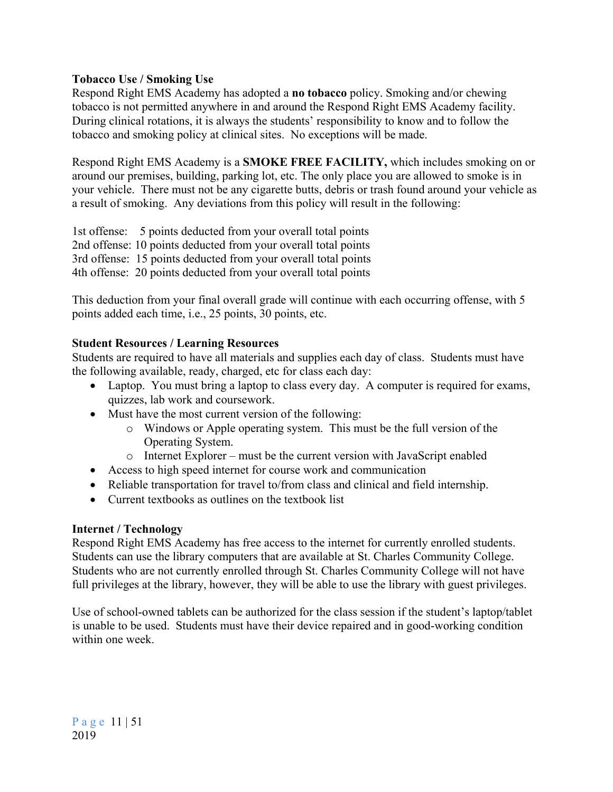### <span id="page-10-0"></span>**Tobacco Use / Smoking Use**

Respond Right EMS Academy has adopted a **no tobacco** policy. Smoking and/or chewing tobacco is not permitted anywhere in and around the Respond Right EMS Academy facility. During clinical rotations, it is always the students' responsibility to know and to follow the tobacco and smoking policy at clinical sites. No exceptions will be made.

Respond Right EMS Academy is a **SMOKE FREE FACILITY,** which includes smoking on or around our premises, building, parking lot, etc. The only place you are allowed to smoke is in your vehicle. There must not be any cigarette butts, debris or trash found around your vehicle as a result of smoking. Any deviations from this policy will result in the following:

1st offense: 5 points deducted from your overall total points 2nd offense: 10 points deducted from your overall total points 3rd offense: 15 points deducted from your overall total points 4th offense: 20 points deducted from your overall total points

This deduction from your final overall grade will continue with each occurring offense, with 5 points added each time, i.e., 25 points, 30 points, etc.

### <span id="page-10-1"></span>**Student Resources / Learning Resources**

Students are required to have all materials and supplies each day of class. Students must have the following available, ready, charged, etc for class each day:

- Laptop. You must bring a laptop to class every day. A computer is required for exams, quizzes, lab work and coursework.
- Must have the most current version of the following:
	- o Windows or Apple operating system. This must be the full version of the Operating System.
	- o Internet Explorer must be the current version with JavaScript enabled
- Access to high speed internet for course work and communication
- Reliable transportation for travel to/from class and clinical and field internship.
- Current textbooks as outlines on the textbook list

#### <span id="page-10-2"></span>**Internet / Technology**

Respond Right EMS Academy has free access to the internet for currently enrolled students. Students can use the library computers that are available at St. Charles Community College. Students who are not currently enrolled through St. Charles Community College will not have full privileges at the library, however, they will be able to use the library with guest privileges.

Use of school-owned tablets can be authorized for the class session if the student's laptop/tablet is unable to be used. Students must have their device repaired and in good-working condition within one week.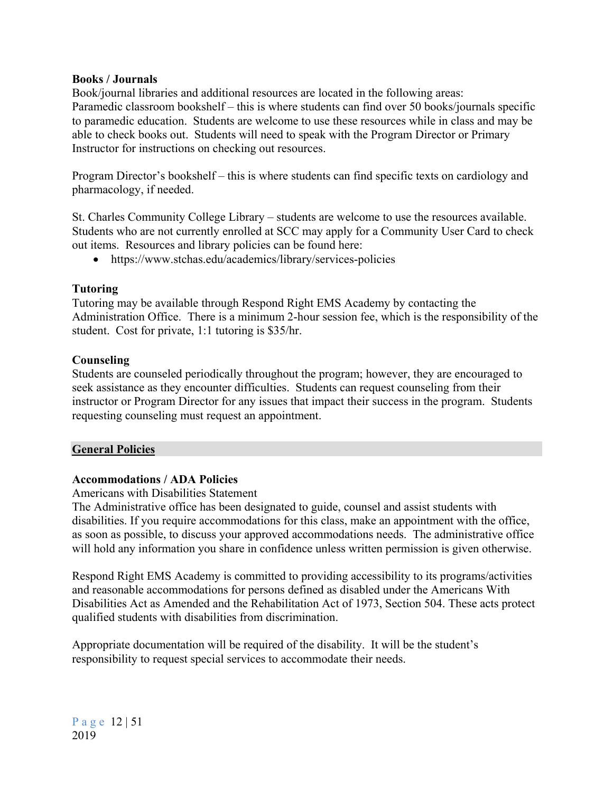#### <span id="page-11-0"></span>**Books / Journals**

Book/journal libraries and additional resources are located in the following areas: Paramedic classroom bookshelf – this is where students can find over 50 books/journals specific to paramedic education. Students are welcome to use these resources while in class and may be able to check books out. Students will need to speak with the Program Director or Primary Instructor for instructions on checking out resources.

Program Director's bookshelf – this is where students can find specific texts on cardiology and pharmacology, if needed.

St. Charles Community College Library – students are welcome to use the resources available. Students who are not currently enrolled at SCC may apply for a Community User Card to check out items. Resources and library policies can be found here:

• https://www.stchas.edu/academics/library/services-policies

### <span id="page-11-1"></span>**Tutoring**

Tutoring may be available through Respond Right EMS Academy by contacting the Administration Office. There is a minimum 2-hour session fee, which is the responsibility of the student. Cost for private, 1:1 tutoring is \$35/hr.

### <span id="page-11-2"></span>**Counseling**

Students are counseled periodically throughout the program; however, they are encouraged to seek assistance as they encounter difficulties. Students can request counseling from their instructor or Program Director for any issues that impact their success in the program. Students requesting counseling must request an appointment.

#### <span id="page-11-3"></span>**General Policies**

#### <span id="page-11-4"></span>**Accommodations / ADA Policies**

Americans with Disabilities Statement

The Administrative office has been designated to guide, counsel and assist students with disabilities. If you require accommodations for this class, make an appointment with the office, as soon as possible, to discuss your approved accommodations needs. The administrative office will hold any information you share in confidence unless written permission is given otherwise.

Respond Right EMS Academy is committed to providing accessibility to its programs/activities and reasonable accommodations for persons defined as disabled under the Americans With Disabilities Act as Amended and the Rehabilitation Act of 1973, Section 504. These acts protect qualified students with disabilities from discrimination.

Appropriate documentation will be required of the disability. It will be the student's responsibility to request special services to accommodate their needs.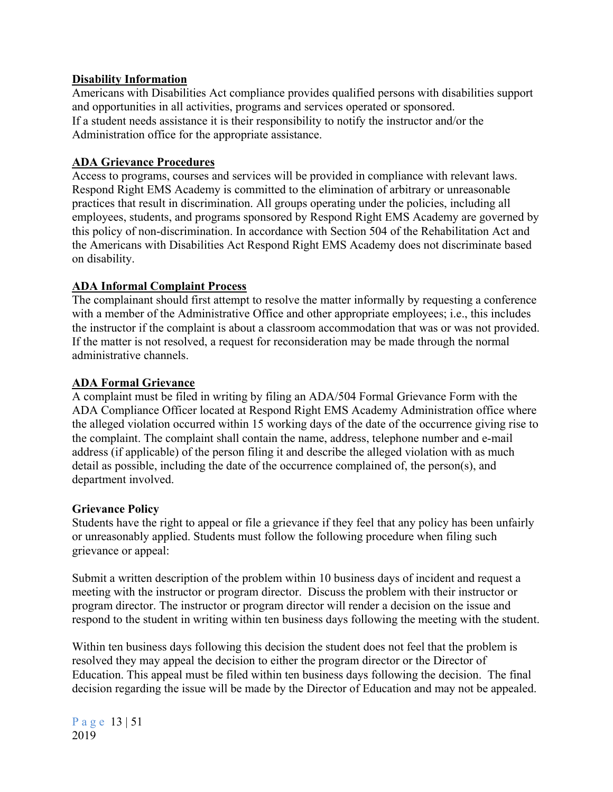### **Disability Information**

Americans with Disabilities Act compliance provides qualified persons with disabilities support and opportunities in all activities, programs and services operated or sponsored. If a student needs assistance it is their responsibility to notify the instructor and/or the Administration office for the appropriate assistance.

## **ADA Grievance Procedures**

Access to programs, courses and services will be provided in compliance with relevant laws. Respond Right EMS Academy is committed to the elimination of arbitrary or unreasonable practices that result in discrimination. All groups operating under the policies, including all employees, students, and programs sponsored by Respond Right EMS Academy are governed by this policy of non-discrimination. In accordance with Section 504 of the Rehabilitation Act and the Americans with Disabilities Act Respond Right EMS Academy does not discriminate based on disability.

## **ADA Informal Complaint Process**

The complainant should first attempt to resolve the matter informally by requesting a conference with a member of the Administrative Office and other appropriate employees; i.e., this includes the instructor if the complaint is about a classroom accommodation that was or was not provided. If the matter is not resolved, a request for reconsideration may be made through the normal administrative channels.

### **ADA Formal Grievance**

A complaint must be filed in writing by filing an ADA/504 Formal Grievance Form with the ADA Compliance Officer located at Respond Right EMS Academy Administration office where the alleged violation occurred within 15 working days of the date of the occurrence giving rise to the complaint. The complaint shall contain the name, address, telephone number and e-mail address (if applicable) of the person filing it and describe the alleged violation with as much detail as possible, including the date of the occurrence complained of, the person(s), and department involved.

#### <span id="page-12-0"></span>**Grievance Policy**

Students have the right to appeal or file a grievance if they feel that any policy has been unfairly or unreasonably applied. Students must follow the following procedure when filing such grievance or appeal:

Submit a written description of the problem within 10 business days of incident and request a meeting with the instructor or program director. Discuss the problem with their instructor or program director. The instructor or program director will render a decision on the issue and respond to the student in writing within ten business days following the meeting with the student.

Within ten business days following this decision the student does not feel that the problem is resolved they may appeal the decision to either the program director or the Director of Education. This appeal must be filed within ten business days following the decision. The final decision regarding the issue will be made by the Director of Education and may not be appealed.

Page 13 | 51 2019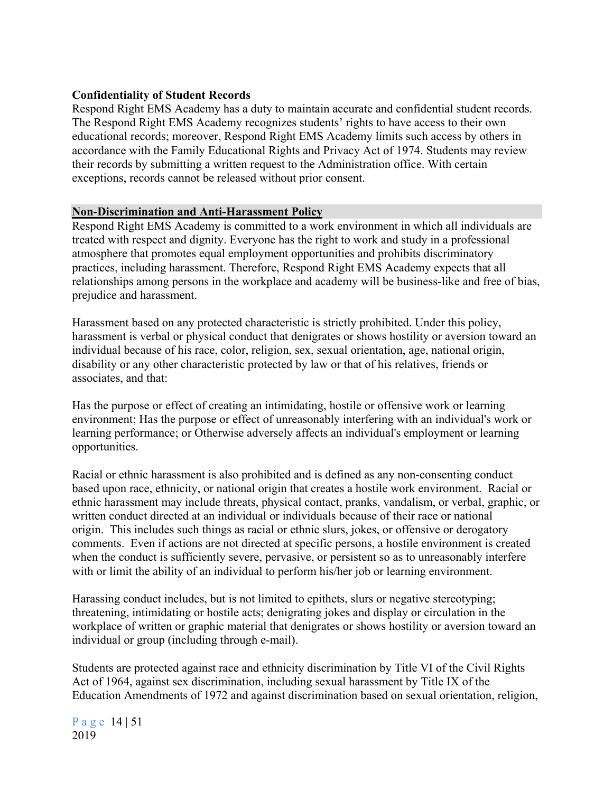#### <span id="page-13-0"></span>**Confidentiality of Student Records**

Respond Right EMS Academy has a duty to maintain accurate and confidential student records. The Respond Right EMS Academy recognizes students' rights to have access to their own educational records; moreover, Respond Right EMS Academy limits such access by others in accordance with the Family Educational Rights and Privacy Act of 1974. Students may review their records by submitting a written request to the Administration office. With certain exceptions, records cannot be released without prior consent.

### <span id="page-13-1"></span>**Non-Discrimination and Anti-Harassment Policy**

Respond Right EMS Academy is committed to a work environment in which all individuals are treated with respect and dignity. Everyone has the right to work and study in a professional atmosphere that promotes equal employment opportunities and prohibits discriminatory practices, including harassment. Therefore, Respond Right EMS Academy expects that all relationships among persons in the workplace and academy will be business-like and free of bias, prejudice and harassment.

Harassment based on any protected characteristic is strictly prohibited. Under this policy, harassment is verbal or physical conduct that denigrates or shows hostility or aversion toward an individual because of his race, color, religion, sex, sexual orientation, age, national origin, disability or any other characteristic protected by law or that of his relatives, friends or associates, and that:

Has the purpose or effect of creating an intimidating, hostile or offensive work or learning environment; Has the purpose or effect of unreasonably interfering with an individual's work or learning performance; or Otherwise adversely affects an individual's employment or learning opportunities.

Racial or ethnic harassment is also prohibited and is defined as any non-consenting conduct based upon race, ethnicity, or national origin that creates a hostile work environment. Racial or ethnic harassment may include threats, physical contact, pranks, vandalism, or verbal, graphic, or written conduct directed at an individual or individuals because of their race or national origin. This includes such things as racial or ethnic slurs, jokes, or offensive or derogatory comments. Even if actions are not directed at specific persons, a hostile environment is created when the conduct is sufficiently severe, pervasive, or persistent so as to unreasonably interfere with or limit the ability of an individual to perform his/her job or learning environment.

Harassing conduct includes, but is not limited to epithets, slurs or negative stereotyping; threatening, intimidating or hostile acts; denigrating jokes and display or circulation in the workplace of written or graphic material that denigrates or shows hostility or aversion toward an individual or group (including through e-mail).

Students are protected against race and ethnicity discrimination by Title VI of the Civil Rights Act of 1964, against sex discrimination, including sexual harassment by Title IX of the Education Amendments of 1972 and against discrimination based on sexual orientation, religion,

```
Page 14 | 51
2019
```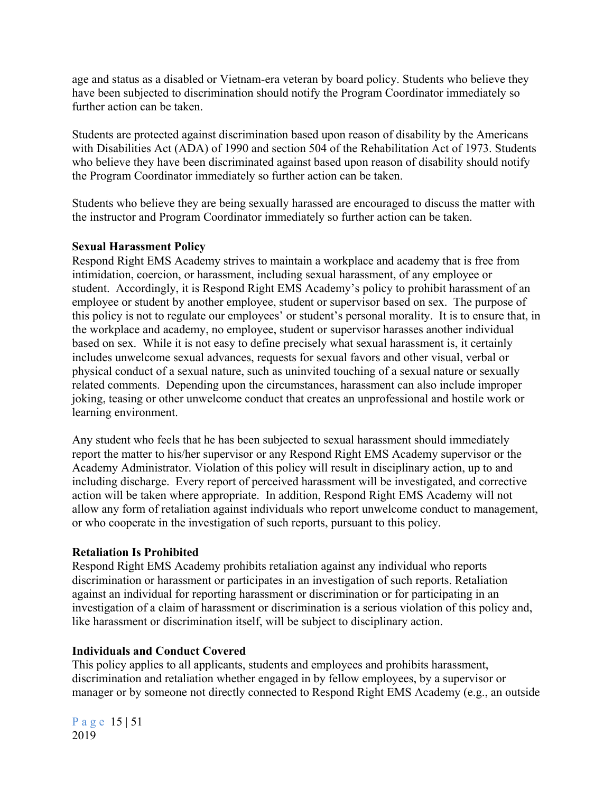age and status as a disabled or Vietnam-era veteran by board policy. Students who believe they have been subjected to discrimination should notify the Program Coordinator immediately so further action can be taken.

Students are protected against discrimination based upon reason of disability by the Americans with Disabilities Act (ADA) of 1990 and section 504 of the Rehabilitation Act of 1973. Students who believe they have been discriminated against based upon reason of disability should notify the Program Coordinator immediately so further action can be taken.

Students who believe they are being sexually harassed are encouraged to discuss the matter with the instructor and Program Coordinator immediately so further action can be taken.

### <span id="page-14-0"></span>**Sexual Harassment Policy**

Respond Right EMS Academy strives to maintain a workplace and academy that is free from intimidation, coercion, or harassment, including sexual harassment, of any employee or student. Accordingly, it is Respond Right EMS Academy's policy to prohibit harassment of an employee or student by another employee, student or supervisor based on sex. The purpose of this policy is not to regulate our employees' or student's personal morality. It is to ensure that, in the workplace and academy, no employee, student or supervisor harasses another individual based on sex. While it is not easy to define precisely what sexual harassment is, it certainly includes unwelcome sexual advances, requests for sexual favors and other visual, verbal or physical conduct of a sexual nature, such as uninvited touching of a sexual nature or sexually related comments. Depending upon the circumstances, harassment can also include improper joking, teasing or other unwelcome conduct that creates an unprofessional and hostile work or learning environment.

Any student who feels that he has been subjected to sexual harassment should immediately report the matter to his/her supervisor or any Respond Right EMS Academy supervisor or the Academy Administrator. Violation of this policy will result in disciplinary action, up to and including discharge. Every report of perceived harassment will be investigated, and corrective action will be taken where appropriate. In addition, Respond Right EMS Academy will not allow any form of retaliation against individuals who report unwelcome conduct to management, or who cooperate in the investigation of such reports, pursuant to this policy.

#### <span id="page-14-1"></span>**Retaliation Is Prohibited**

Respond Right EMS Academy prohibits retaliation against any individual who reports discrimination or harassment or participates in an investigation of such reports. Retaliation against an individual for reporting harassment or discrimination or for participating in an investigation of a claim of harassment or discrimination is a serious violation of this policy and, like harassment or discrimination itself, will be subject to disciplinary action.

## <span id="page-14-2"></span>**Individuals and Conduct Covered**

This policy applies to all applicants, students and employees and prohibits harassment, discrimination and retaliation whether engaged in by fellow employees, by a supervisor or manager or by someone not directly connected to Respond Right EMS Academy (e.g., an outside

Page 15 | 51 2019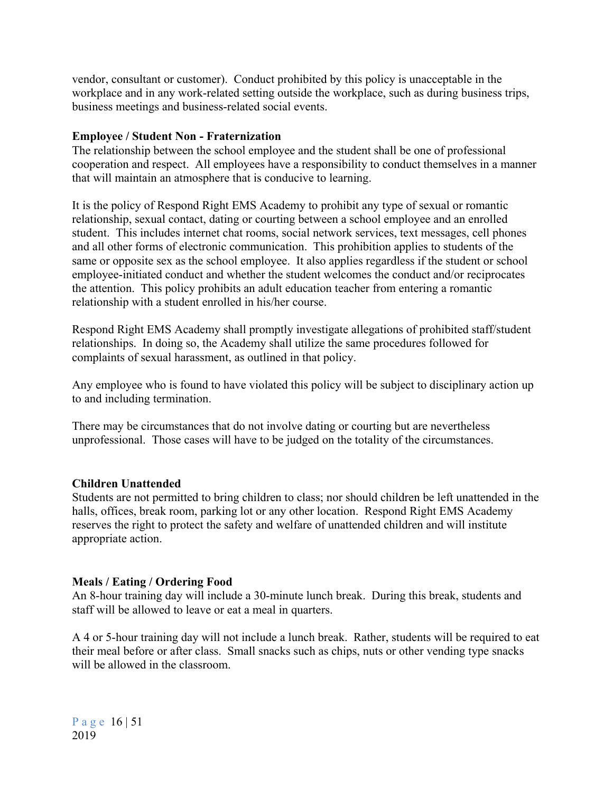vendor, consultant or customer). Conduct prohibited by this policy is unacceptable in the workplace and in any work-related setting outside the workplace, such as during business trips, business meetings and business-related social events.

### <span id="page-15-0"></span>**Employee / Student Non - Fraternization**

The relationship between the school employee and the student shall be one of professional cooperation and respect. All employees have a responsibility to conduct themselves in a manner that will maintain an atmosphere that is conducive to learning.

It is the policy of Respond Right EMS Academy to prohibit any type of sexual or romantic relationship, sexual contact, dating or courting between a school employee and an enrolled student. This includes internet chat rooms, social network services, text messages, cell phones and all other forms of electronic communication. This prohibition applies to students of the same or opposite sex as the school employee. It also applies regardless if the student or school employee-initiated conduct and whether the student welcomes the conduct and/or reciprocates the attention. This policy prohibits an adult education teacher from entering a romantic relationship with a student enrolled in his/her course.

Respond Right EMS Academy shall promptly investigate allegations of prohibited staff/student relationships. In doing so, the Academy shall utilize the same procedures followed for complaints of sexual harassment, as outlined in that policy.

Any employee who is found to have violated this policy will be subject to disciplinary action up to and including termination.

There may be circumstances that do not involve dating or courting but are nevertheless unprofessional. Those cases will have to be judged on the totality of the circumstances.

#### <span id="page-15-1"></span>**Children Unattended**

Students are not permitted to bring children to class; nor should children be left unattended in the halls, offices, break room, parking lot or any other location. Respond Right EMS Academy reserves the right to protect the safety and welfare of unattended children and will institute appropriate action.

#### <span id="page-15-2"></span>**Meals / Eating / Ordering Food**

An 8-hour training day will include a 30-minute lunch break. During this break, students and staff will be allowed to leave or eat a meal in quarters.

A 4 or 5-hour training day will not include a lunch break. Rather, students will be required to eat their meal before or after class. Small snacks such as chips, nuts or other vending type snacks will be allowed in the classroom.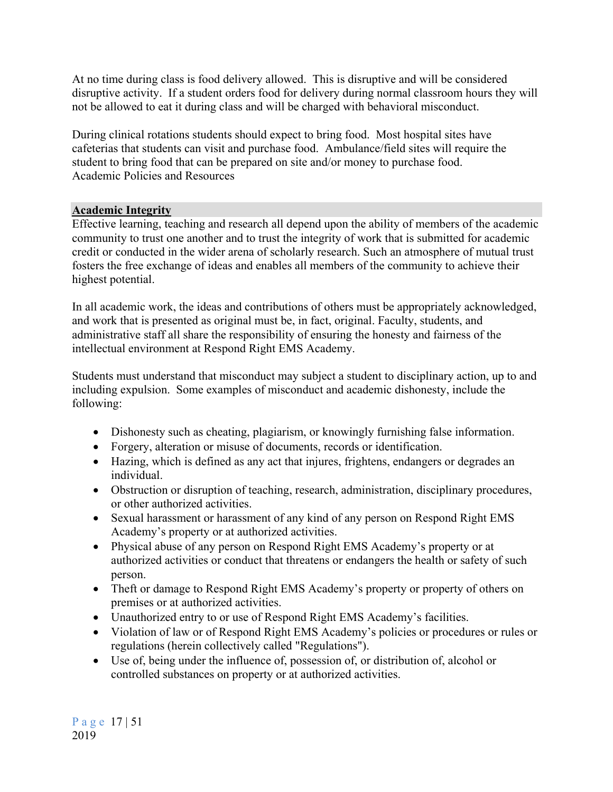At no time during class is food delivery allowed. This is disruptive and will be considered disruptive activity. If a student orders food for delivery during normal classroom hours they will not be allowed to eat it during class and will be charged with behavioral misconduct.

During clinical rotations students should expect to bring food. Most hospital sites have cafeterias that students can visit and purchase food. Ambulance/field sites will require the student to bring food that can be prepared on site and/or money to purchase food. Academic Policies and Resources

## <span id="page-16-0"></span>**Academic Integrity**

Effective learning, teaching and research all depend upon the ability of members of the academic community to trust one another and to trust the integrity of work that is submitted for academic credit or conducted in the wider arena of scholarly research. Such an atmosphere of mutual trust fosters the free exchange of ideas and enables all members of the community to achieve their highest potential.

In all academic work, the ideas and contributions of others must be appropriately acknowledged, and work that is presented as original must be, in fact, original. Faculty, students, and administrative staff all share the responsibility of ensuring the honesty and fairness of the intellectual environment at Respond Right EMS Academy.

Students must understand that misconduct may subject a student to disciplinary action, up to and including expulsion. Some examples of misconduct and academic dishonesty, include the following:

- Dishonesty such as cheating, plagiarism, or knowingly furnishing false information.
- Forgery, alteration or misuse of documents, records or identification.
- Hazing, which is defined as any act that injures, frightens, endangers or degrades an individual.
- Obstruction or disruption of teaching, research, administration, disciplinary procedures, or other authorized activities.
- Sexual harassment or harassment of any kind of any person on Respond Right EMS Academy's property or at authorized activities.
- Physical abuse of any person on Respond Right EMS Academy's property or at authorized activities or conduct that threatens or endangers the health or safety of such person.
- Theft or damage to Respond Right EMS Academy's property or property of others on premises or at authorized activities.
- Unauthorized entry to or use of Respond Right EMS Academy's facilities.
- Violation of law or of Respond Right EMS Academy's policies or procedures or rules or regulations (herein collectively called "Regulations").
- Use of, being under the influence of, possession of, or distribution of, alcohol or controlled substances on property or at authorized activities.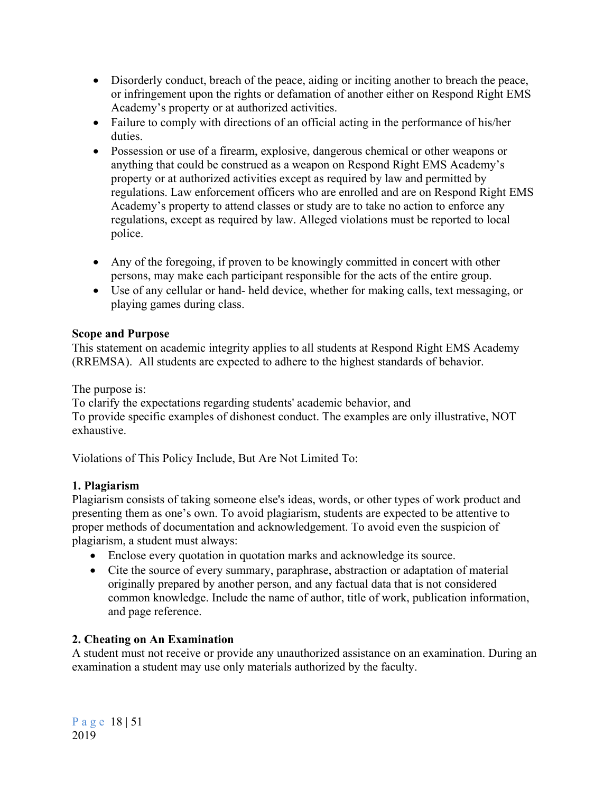- Disorderly conduct, breach of the peace, aiding or inciting another to breach the peace, or infringement upon the rights or defamation of another either on Respond Right EMS Academy's property or at authorized activities.
- Failure to comply with directions of an official acting in the performance of his/her duties.
- Possession or use of a firearm, explosive, dangerous chemical or other weapons or anything that could be construed as a weapon on Respond Right EMS Academy's property or at authorized activities except as required by law and permitted by regulations. Law enforcement officers who are enrolled and are on Respond Right EMS Academy's property to attend classes or study are to take no action to enforce any regulations, except as required by law. Alleged violations must be reported to local police.
- Any of the foregoing, if proven to be knowingly committed in concert with other persons, may make each participant responsible for the acts of the entire group.
- Use of any cellular or hand- held device, whether for making calls, text messaging, or playing games during class.

## <span id="page-17-0"></span>**Scope and Purpose**

This statement on academic integrity applies to all students at Respond Right EMS Academy (RREMSA). All students are expected to adhere to the highest standards of behavior.

The purpose is:

To clarify the expectations regarding students' academic behavior, and To provide specific examples of dishonest conduct. The examples are only illustrative, NOT exhaustive.

Violations of This Policy Include, But Are Not Limited To:

## **1. Plagiarism**

Plagiarism consists of taking someone else's ideas, words, or other types of work product and presenting them as one's own. To avoid plagiarism, students are expected to be attentive to proper methods of documentation and acknowledgement. To avoid even the suspicion of plagiarism, a student must always:

- Enclose every quotation in quotation marks and acknowledge its source.
- Cite the source of every summary, paraphrase, abstraction or adaptation of material originally prepared by another person, and any factual data that is not considered common knowledge. Include the name of author, title of work, publication information, and page reference.

## **2. Cheating on An Examination**

A student must not receive or provide any unauthorized assistance on an examination. During an examination a student may use only materials authorized by the faculty.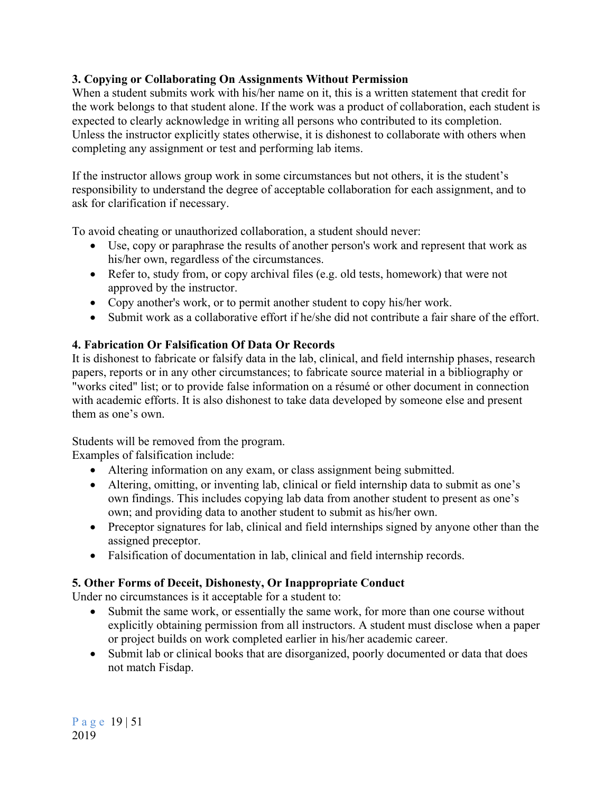## **3. Copying or Collaborating On Assignments Without Permission**

When a student submits work with his/her name on it, this is a written statement that credit for the work belongs to that student alone. If the work was a product of collaboration, each student is expected to clearly acknowledge in writing all persons who contributed to its completion. Unless the instructor explicitly states otherwise, it is dishonest to collaborate with others when completing any assignment or test and performing lab items.

If the instructor allows group work in some circumstances but not others, it is the student's responsibility to understand the degree of acceptable collaboration for each assignment, and to ask for clarification if necessary.

To avoid cheating or unauthorized collaboration, a student should never:

- Use, copy or paraphrase the results of another person's work and represent that work as his/her own, regardless of the circumstances.
- Refer to, study from, or copy archival files (e.g. old tests, homework) that were not approved by the instructor.
- Copy another's work, or to permit another student to copy his/her work.
- Submit work as a collaborative effort if he/she did not contribute a fair share of the effort.

## **4. Fabrication Or Falsification Of Data Or Records**

It is dishonest to fabricate or falsify data in the lab, clinical, and field internship phases, research papers, reports or in any other circumstances; to fabricate source material in a bibliography or "works cited" list; or to provide false information on a résumé or other document in connection with academic efforts. It is also dishonest to take data developed by someone else and present them as one's own.

Students will be removed from the program.

Examples of falsification include:

- Altering information on any exam, or class assignment being submitted.
- Altering, omitting, or inventing lab, clinical or field internship data to submit as one's own findings. This includes copying lab data from another student to present as one's own; and providing data to another student to submit as his/her own.
- Preceptor signatures for lab, clinical and field internships signed by anyone other than the assigned preceptor.
- Falsification of documentation in lab, clinical and field internship records.

## **5. Other Forms of Deceit, Dishonesty, Or Inappropriate Conduct**

Under no circumstances is it acceptable for a student to:

- Submit the same work, or essentially the same work, for more than one course without explicitly obtaining permission from all instructors. A student must disclose when a paper or project builds on work completed earlier in his/her academic career.
- Submit lab or clinical books that are disorganized, poorly documented or data that does not match Fisdap.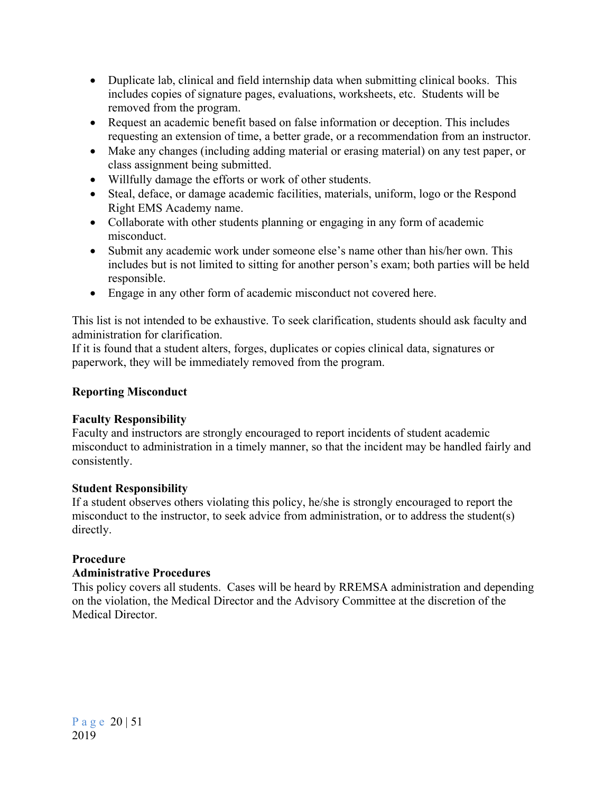- Duplicate lab, clinical and field internship data when submitting clinical books. This includes copies of signature pages, evaluations, worksheets, etc. Students will be removed from the program.
- Request an academic benefit based on false information or deception. This includes requesting an extension of time, a better grade, or a recommendation from an instructor.
- Make any changes (including adding material or erasing material) on any test paper, or class assignment being submitted.
- Willfully damage the efforts or work of other students.
- Steal, deface, or damage academic facilities, materials, uniform, logo or the Respond Right EMS Academy name.
- Collaborate with other students planning or engaging in any form of academic misconduct.
- Submit any academic work under someone else's name other than his/her own. This includes but is not limited to sitting for another person's exam; both parties will be held responsible.
- Engage in any other form of academic misconduct not covered here.

This list is not intended to be exhaustive. To seek clarification, students should ask faculty and administration for clarification.

If it is found that a student alters, forges, duplicates or copies clinical data, signatures or paperwork, they will be immediately removed from the program.

## <span id="page-19-0"></span>**Reporting Misconduct**

## **Faculty Responsibility**

Faculty and instructors are strongly encouraged to report incidents of student academic misconduct to administration in a timely manner, so that the incident may be handled fairly and consistently.

## **Student Responsibility**

If a student observes others violating this policy, he/she is strongly encouraged to report the misconduct to the instructor, to seek advice from administration, or to address the student(s) directly.

## <span id="page-19-1"></span>**Procedure**

## **Administrative Procedures**

This policy covers all students. Cases will be heard by RREMSA administration and depending on the violation, the Medical Director and the Advisory Committee at the discretion of the Medical Director.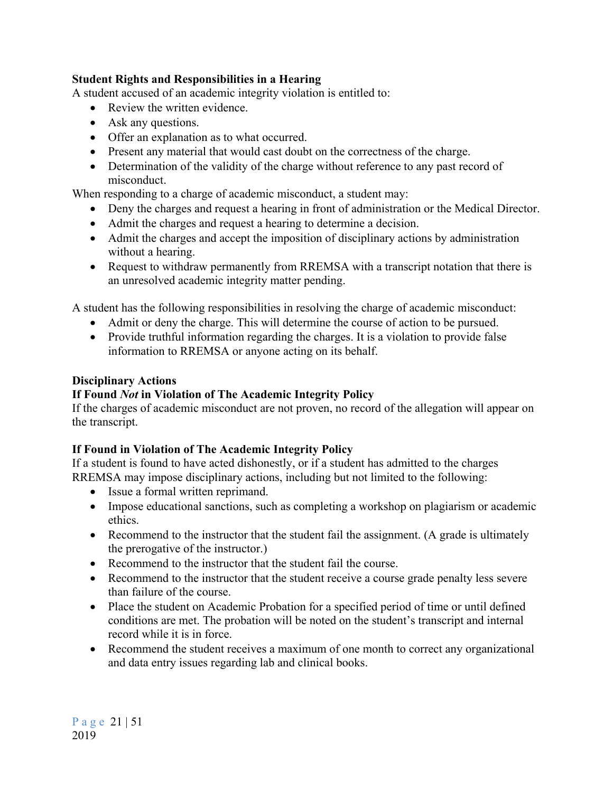## **Student Rights and Responsibilities in a Hearing**

A student accused of an academic integrity violation is entitled to:

- Review the written evidence.
- Ask any questions.
- Offer an explanation as to what occurred.
- Present any material that would cast doubt on the correctness of the charge.
- Determination of the validity of the charge without reference to any past record of misconduct.

When responding to a charge of academic misconduct, a student may:

- Deny the charges and request a hearing in front of administration or the Medical Director.
- Admit the charges and request a hearing to determine a decision.
- Admit the charges and accept the imposition of disciplinary actions by administration without a hearing.
- Request to withdraw permanently from RREMSA with a transcript notation that there is an unresolved academic integrity matter pending.

A student has the following responsibilities in resolving the charge of academic misconduct:

- Admit or deny the charge. This will determine the course of action to be pursued.
- Provide truthful information regarding the charges. It is a violation to provide false information to RREMSA or anyone acting on its behalf.

## <span id="page-20-0"></span>**Disciplinary Actions**

## **If Found** *Not* **in Violation of The Academic Integrity Policy**

If the charges of academic misconduct are not proven, no record of the allegation will appear on the transcript.

## **If Found in Violation of The Academic Integrity Policy**

If a student is found to have acted dishonestly, or if a student has admitted to the charges RREMSA may impose disciplinary actions, including but not limited to the following:

- Issue a formal written reprimand.
- Impose educational sanctions, such as completing a workshop on plagiarism or academic ethics.
- Recommend to the instructor that the student fail the assignment. (A grade is ultimately the prerogative of the instructor.)
- Recommend to the instructor that the student fail the course.
- Recommend to the instructor that the student receive a course grade penalty less severe than failure of the course.
- Place the student on Academic Probation for a specified period of time or until defined conditions are met. The probation will be noted on the student's transcript and internal record while it is in force.
- Recommend the student receives a maximum of one month to correct any organizational and data entry issues regarding lab and clinical books.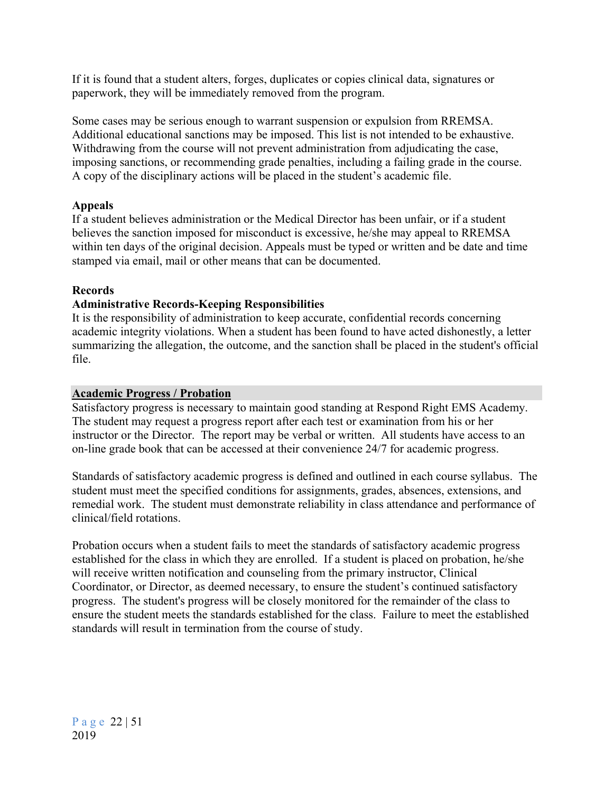If it is found that a student alters, forges, duplicates or copies clinical data, signatures or paperwork, they will be immediately removed from the program.

Some cases may be serious enough to warrant suspension or expulsion from RREMSA. Additional educational sanctions may be imposed. This list is not intended to be exhaustive. Withdrawing from the course will not prevent administration from adjudicating the case, imposing sanctions, or recommending grade penalties, including a failing grade in the course. A copy of the disciplinary actions will be placed in the student's academic file.

## <span id="page-21-0"></span>**Appeals**

If a student believes administration or the Medical Director has been unfair, or if a student believes the sanction imposed for misconduct is excessive, he/she may appeal to RREMSA within ten days of the original decision. Appeals must be typed or written and be date and time stamped via email, mail or other means that can be documented.

### <span id="page-21-1"></span>**Records**

### **Administrative Records-Keeping Responsibilities**

It is the responsibility of administration to keep accurate, confidential records concerning academic integrity violations. When a student has been found to have acted dishonestly, a letter summarizing the allegation, the outcome, and the sanction shall be placed in the student's official file.

#### <span id="page-21-2"></span>**Academic Progress / Probation**

Satisfactory progress is necessary to maintain good standing at Respond Right EMS Academy. The student may request a progress report after each test or examination from his or her instructor or the Director. The report may be verbal or written. All students have access to an on-line grade book that can be accessed at their convenience 24/7 for academic progress.

Standards of satisfactory academic progress is defined and outlined in each course syllabus. The student must meet the specified conditions for assignments, grades, absences, extensions, and remedial work. The student must demonstrate reliability in class attendance and performance of clinical/field rotations.

Probation occurs when a student fails to meet the standards of satisfactory academic progress established for the class in which they are enrolled. If a student is placed on probation, he/she will receive written notification and counseling from the primary instructor, Clinical Coordinator, or Director, as deemed necessary, to ensure the student's continued satisfactory progress. The student's progress will be closely monitored for the remainder of the class to ensure the student meets the standards established for the class. Failure to meet the established standards will result in termination from the course of study.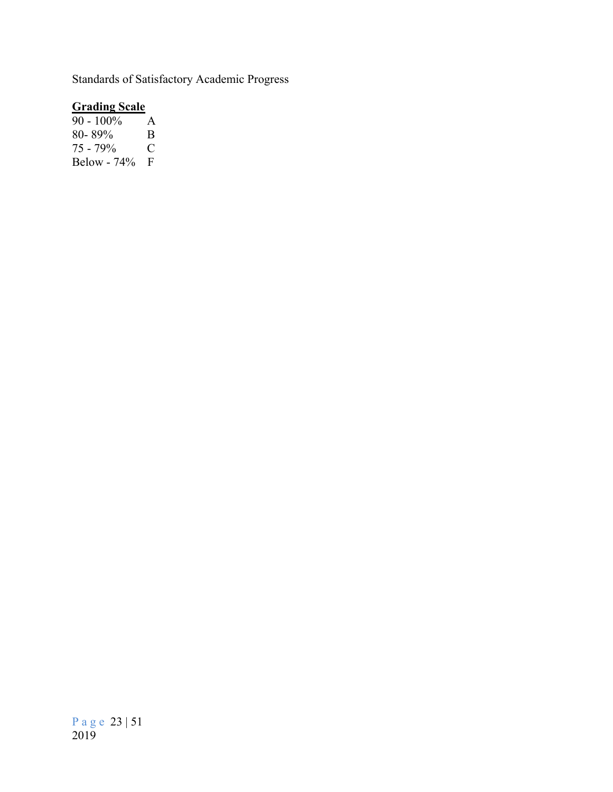Standards of Satisfactory Academic Progress

#### **Grading Scale**

90 - 100% A 80-89% B<br>75 - 79% C 75 - 79% C Below - 74% F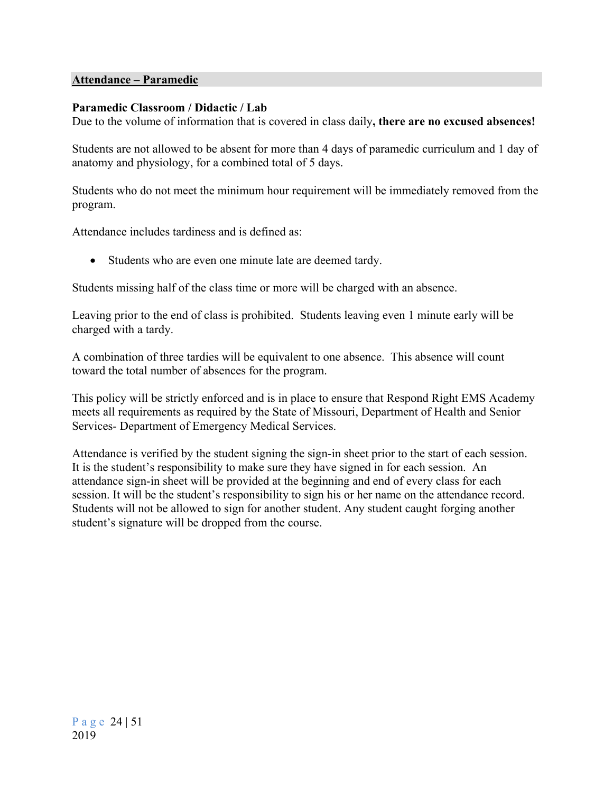#### <span id="page-23-0"></span>**Attendance – Paramedic**

#### **Paramedic Classroom / Didactic / Lab**

Due to the volume of information that is covered in class daily**, there are no excused absences!** 

Students are not allowed to be absent for more than 4 days of paramedic curriculum and 1 day of anatomy and physiology, for a combined total of 5 days.

Students who do not meet the minimum hour requirement will be immediately removed from the program.

Attendance includes tardiness and is defined as:

• Students who are even one minute late are deemed tardy.

Students missing half of the class time or more will be charged with an absence.

Leaving prior to the end of class is prohibited. Students leaving even 1 minute early will be charged with a tardy.

A combination of three tardies will be equivalent to one absence. This absence will count toward the total number of absences for the program.

This policy will be strictly enforced and is in place to ensure that Respond Right EMS Academy meets all requirements as required by the State of Missouri, Department of Health and Senior Services- Department of Emergency Medical Services.

Attendance is verified by the student signing the sign-in sheet prior to the start of each session. It is the student's responsibility to make sure they have signed in for each session. An attendance sign-in sheet will be provided at the beginning and end of every class for each session. It will be the student's responsibility to sign his or her name on the attendance record. Students will not be allowed to sign for another student. Any student caught forging another student's signature will be dropped from the course.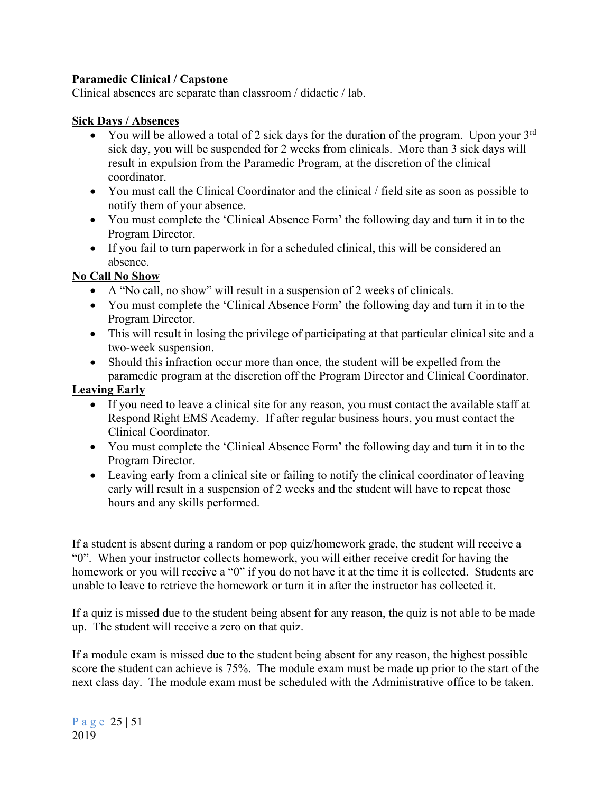## **Paramedic Clinical / Capstone**

Clinical absences are separate than classroom / didactic / lab.

#### **Sick Days / Absences**

- You will be allowed a total of 2 sick days for the duration of the program. Upon your  $3<sup>rd</sup>$ sick day, you will be suspended for 2 weeks from clinicals. More than 3 sick days will result in expulsion from the Paramedic Program, at the discretion of the clinical coordinator.
- You must call the Clinical Coordinator and the clinical / field site as soon as possible to notify them of your absence.
- You must complete the 'Clinical Absence Form' the following day and turn it in to the Program Director.
- If you fail to turn paperwork in for a scheduled clinical, this will be considered an absence.

## **No Call No Show**

- A "No call, no show" will result in a suspension of 2 weeks of clinicals.
- You must complete the 'Clinical Absence Form' the following day and turn it in to the Program Director.
- This will result in losing the privilege of participating at that particular clinical site and a two-week suspension.
- Should this infraction occur more than once, the student will be expelled from the paramedic program at the discretion off the Program Director and Clinical Coordinator.

## **Leaving Early**

- If you need to leave a clinical site for any reason, you must contact the available staff at Respond Right EMS Academy. If after regular business hours, you must contact the Clinical Coordinator.
- You must complete the 'Clinical Absence Form' the following day and turn it in to the Program Director.
- Leaving early from a clinical site or failing to notify the clinical coordinator of leaving early will result in a suspension of 2 weeks and the student will have to repeat those hours and any skills performed.

If a student is absent during a random or pop quiz/homework grade, the student will receive a "0". When your instructor collects homework, you will either receive credit for having the homework or you will receive a "0" if you do not have it at the time it is collected. Students are unable to leave to retrieve the homework or turn it in after the instructor has collected it.

If a quiz is missed due to the student being absent for any reason, the quiz is not able to be made up. The student will receive a zero on that quiz.

If a module exam is missed due to the student being absent for any reason, the highest possible score the student can achieve is 75%. The module exam must be made up prior to the start of the next class day. The module exam must be scheduled with the Administrative office to be taken.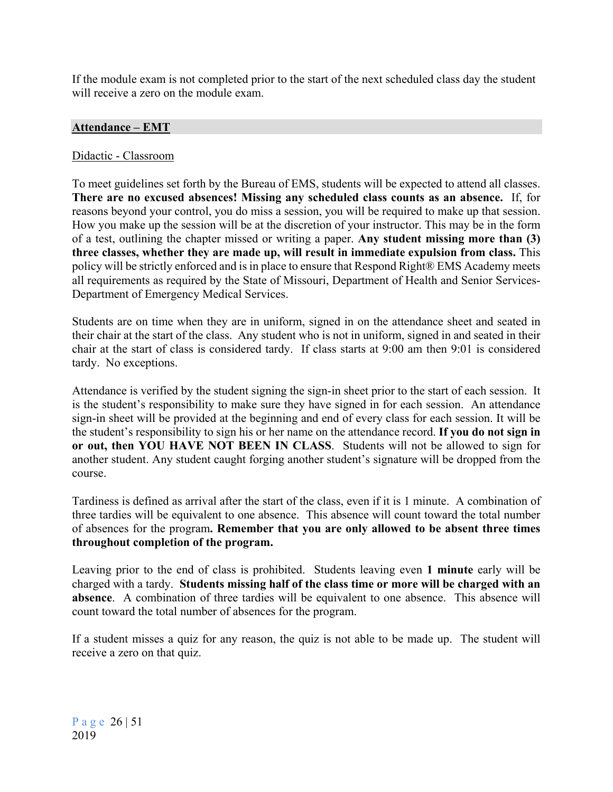If the module exam is not completed prior to the start of the next scheduled class day the student will receive a zero on the module exam.

#### <span id="page-25-0"></span>**Attendance – EMT**

#### Didactic - Classroom

To meet guidelines set forth by the Bureau of EMS, students will be expected to attend all classes. **There are no excused absences! Missing any scheduled class counts as an absence.** If, for reasons beyond your control, you do miss a session, you will be required to make up that session. How you make up the session will be at the discretion of your instructor. This may be in the form of a test, outlining the chapter missed or writing a paper. **Any student missing more than (3) three classes, whether they are made up, will result in immediate expulsion from class.** This policy will be strictly enforced and is in place to ensure that Respond Right® EMS Academy meets all requirements as required by the State of Missouri, Department of Health and Senior Services-Department of Emergency Medical Services.

Students are on time when they are in uniform, signed in on the attendance sheet and seated in their chair at the start of the class. Any student who is not in uniform, signed in and seated in their chair at the start of class is considered tardy. If class starts at 9:00 am then 9:01 is considered tardy. No exceptions.

Attendance is verified by the student signing the sign-in sheet prior to the start of each session. It is the student's responsibility to make sure they have signed in for each session. An attendance sign-in sheet will be provided at the beginning and end of every class for each session. It will be the student's responsibility to sign his or her name on the attendance record. **If you do not sign in or out, then YOU HAVE NOT BEEN IN CLASS**. Students will not be allowed to sign for another student. Any student caught forging another student's signature will be dropped from the course.

Tardiness is defined as arrival after the start of the class, even if it is 1 minute. A combination of three tardies will be equivalent to one absence. This absence will count toward the total number of absences for the program**. Remember that you are only allowed to be absent three times throughout completion of the program.**

Leaving prior to the end of class is prohibited. Students leaving even **1 minute** early will be charged with a tardy. **Students missing half of the class time or more will be charged with an absence**. A combination of three tardies will be equivalent to one absence. This absence will count toward the total number of absences for the program.

If a student misses a quiz for any reason, the quiz is not able to be made up. The student will receive a zero on that quiz.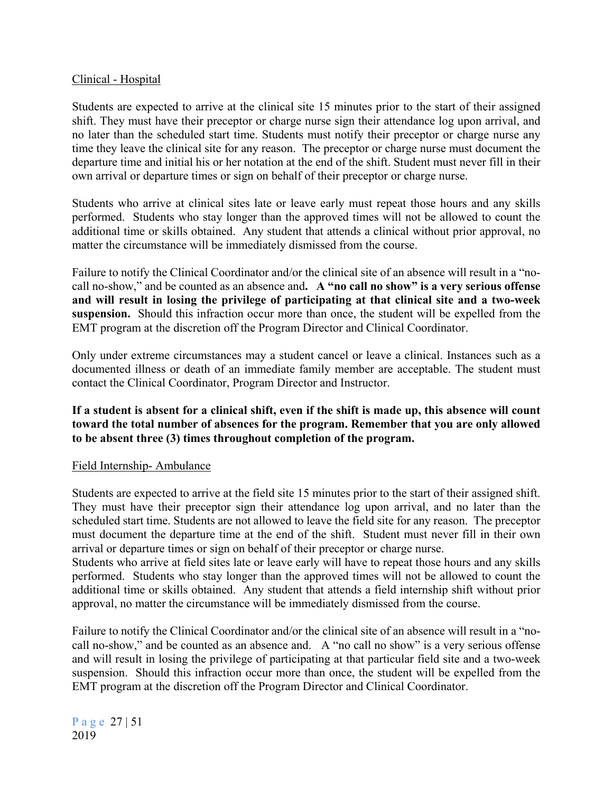#### Clinical - Hospital

Students are expected to arrive at the clinical site 15 minutes prior to the start of their assigned shift. They must have their preceptor or charge nurse sign their attendance log upon arrival, and no later than the scheduled start time. Students must notify their preceptor or charge nurse any time they leave the clinical site for any reason. The preceptor or charge nurse must document the departure time and initial his or her notation at the end of the shift. Student must never fill in their own arrival or departure times or sign on behalf of their preceptor or charge nurse.

Students who arrive at clinical sites late or leave early must repeat those hours and any skills performed. Students who stay longer than the approved times will not be allowed to count the additional time or skills obtained. Any student that attends a clinical without prior approval, no matter the circumstance will be immediately dismissed from the course.

Failure to notify the Clinical Coordinator and/or the clinical site of an absence will result in a "nocall no-show," and be counted as an absence and**. A "no call no show" is a very serious offense and will result in losing the privilege of participating at that clinical site and a two-week suspension.** Should this infraction occur more than once, the student will be expelled from the EMT program at the discretion off the Program Director and Clinical Coordinator.

Only under extreme circumstances may a student cancel or leave a clinical. Instances such as a documented illness or death of an immediate family member are acceptable. The student must contact the Clinical Coordinator, Program Director and Instructor.

### **If a student is absent for a clinical shift, even if the shift is made up, this absence will count toward the total number of absences for the program. Remember that you are only allowed to be absent three (3) times throughout completion of the program.**

#### Field Internship- Ambulance

Students are expected to arrive at the field site 15 minutes prior to the start of their assigned shift. They must have their preceptor sign their attendance log upon arrival, and no later than the scheduled start time. Students are not allowed to leave the field site for any reason. The preceptor must document the departure time at the end of the shift. Student must never fill in their own arrival or departure times or sign on behalf of their preceptor or charge nurse.

Students who arrive at field sites late or leave early will have to repeat those hours and any skills performed. Students who stay longer than the approved times will not be allowed to count the additional time or skills obtained. Any student that attends a field internship shift without prior approval, no matter the circumstance will be immediately dismissed from the course.

Failure to notify the Clinical Coordinator and/or the clinical site of an absence will result in a "nocall no-show," and be counted as an absence and. A "no call no show" is a very serious offense and will result in losing the privilege of participating at that particular field site and a two-week suspension. Should this infraction occur more than once, the student will be expelled from the EMT program at the discretion off the Program Director and Clinical Coordinator.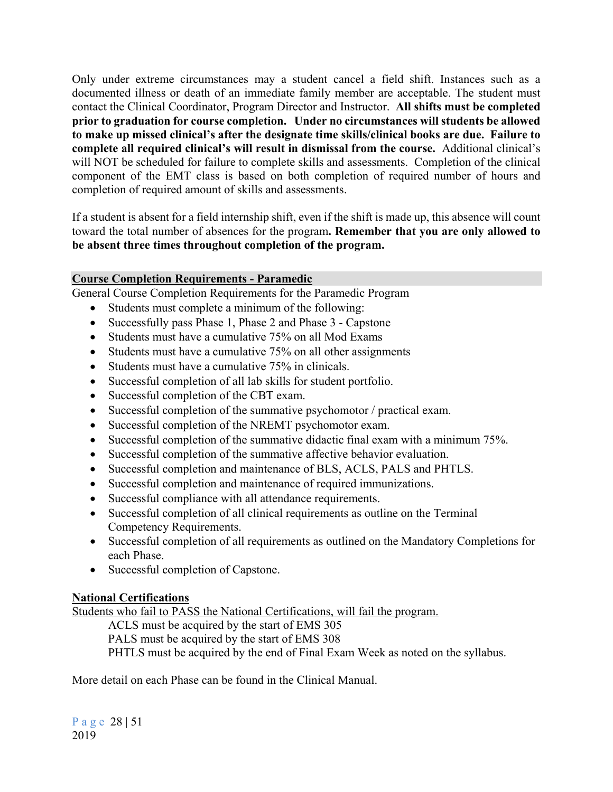Only under extreme circumstances may a student cancel a field shift. Instances such as a documented illness or death of an immediate family member are acceptable. The student must contact the Clinical Coordinator, Program Director and Instructor. **All shifts must be completed prior to graduation for course completion. Under no circumstances will students be allowed to make up missed clinical's after the designate time skills/clinical books are due. Failure to complete all required clinical's will result in dismissal from the course.** Additional clinical's will NOT be scheduled for failure to complete skills and assessments. Completion of the clinical component of the EMT class is based on both completion of required number of hours and completion of required amount of skills and assessments.

If a student is absent for a field internship shift, even if the shift is made up, this absence will count toward the total number of absences for the program**. Remember that you are only allowed to be absent three times throughout completion of the program.**

### <span id="page-27-0"></span>**Course Completion Requirements - Paramedic**

General Course Completion Requirements for the Paramedic Program

- Students must complete a minimum of the following:
- Successfully pass Phase 1, Phase 2 and Phase 3 Capstone
- Students must have a cumulative 75% on all Mod Exams
- Students must have a cumulative 75% on all other assignments
- Students must have a cumulative 75% in clinicals.
- Successful completion of all lab skills for student portfolio.
- Successful completion of the CBT exam.
- Successful completion of the summative psychomotor / practical exam.
- Successful completion of the NREMT psychomotor exam.
- Successful completion of the summative didactic final exam with a minimum 75%.
- Successful completion of the summative affective behavior evaluation.
- Successful completion and maintenance of BLS, ACLS, PALS and PHTLS.
- Successful completion and maintenance of required immunizations.
- Successful compliance with all attendance requirements.
- Successful completion of all clinical requirements as outline on the Terminal Competency Requirements.
- Successful completion of all requirements as outlined on the Mandatory Completions for each Phase.
- Successful completion of Capstone.

## **National Certifications**

Students who fail to PASS the National Certifications, will fail the program.

ACLS must be acquired by the start of EMS 305

PALS must be acquired by the start of EMS 308

PHTLS must be acquired by the end of Final Exam Week as noted on the syllabus.

More detail on each Phase can be found in the Clinical Manual.

Page 28 | 51 2019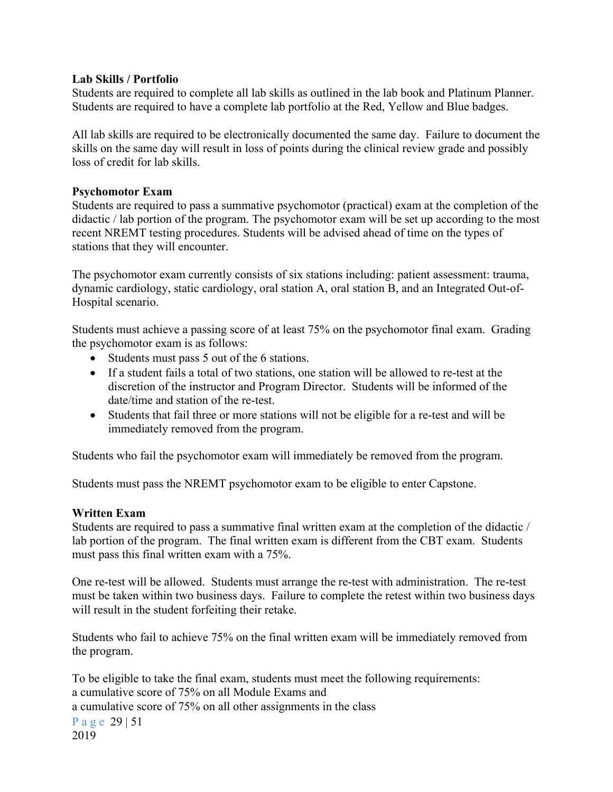#### <span id="page-28-0"></span>**Lab Skills / Portfolio**

Students are required to complete all lab skills as outlined in the lab book and Platinum Planner. Students are required to have a complete lab portfolio at the Red, Yellow and Blue badges.

All lab skills are required to be electronically documented the same day. Failure to document the skills on the same day will result in loss of points during the clinical review grade and possibly loss of credit for lab skills.

### <span id="page-28-1"></span>**Psychomotor Exam**

Students are required to pass a summative psychomotor (practical) exam at the completion of the didactic / lab portion of the program. The psychomotor exam will be set up according to the most recent NREMT testing procedures. Students will be advised ahead of time on the types of stations that they will encounter.

The psychomotor exam currently consists of six stations including: patient assessment: trauma, dynamic cardiology, static cardiology, oral station A, oral station B, and an Integrated Out-of-Hospital scenario.

Students must achieve a passing score of at least 75% on the psychomotor final exam. Grading the psychomotor exam is as follows:

- Students must pass 5 out of the 6 stations.
- If a student fails a total of two stations, one station will be allowed to re-test at the discretion of the instructor and Program Director. Students will be informed of the date/time and station of the re-test.
- Students that fail three or more stations will not be eligible for a re-test and will be immediately removed from the program.

Students who fail the psychomotor exam will immediately be removed from the program.

Students must pass the NREMT psychomotor exam to be eligible to enter Capstone.

## <span id="page-28-2"></span>**Written Exam**

Students are required to pass a summative final written exam at the completion of the didactic / lab portion of the program. The final written exam is different from the CBT exam. Students must pass this final written exam with a 75%.

One re-test will be allowed. Students must arrange the re-test with administration. The re-test must be taken within two business days. Failure to complete the retest within two business days will result in the student forfeiting their retake.

Students who fail to achieve 75% on the final written exam will be immediately removed from the program.

Page 29 | 51 To be eligible to take the final exam, students must meet the following requirements: a cumulative score of 75% on all Module Exams and a cumulative score of 75% on all other assignments in the class

2019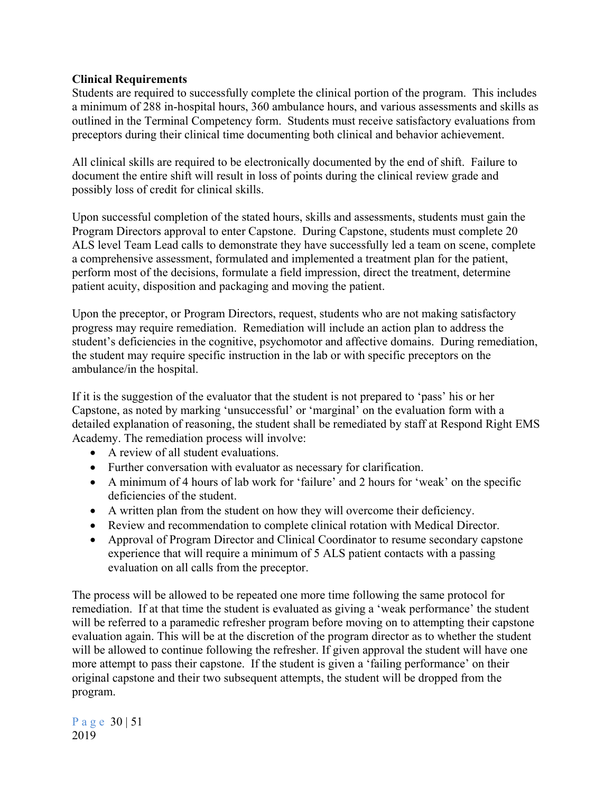### <span id="page-29-0"></span>**Clinical Requirements**

Students are required to successfully complete the clinical portion of the program. This includes a minimum of 288 in-hospital hours, 360 ambulance hours, and various assessments and skills as outlined in the Terminal Competency form. Students must receive satisfactory evaluations from preceptors during their clinical time documenting both clinical and behavior achievement.

All clinical skills are required to be electronically documented by the end of shift. Failure to document the entire shift will result in loss of points during the clinical review grade and possibly loss of credit for clinical skills.

Upon successful completion of the stated hours, skills and assessments, students must gain the Program Directors approval to enter Capstone. During Capstone, students must complete 20 ALS level Team Lead calls to demonstrate they have successfully led a team on scene, complete a comprehensive assessment, formulated and implemented a treatment plan for the patient, perform most of the decisions, formulate a field impression, direct the treatment, determine patient acuity, disposition and packaging and moving the patient.

Upon the preceptor, or Program Directors, request, students who are not making satisfactory progress may require remediation. Remediation will include an action plan to address the student's deficiencies in the cognitive, psychomotor and affective domains. During remediation, the student may require specific instruction in the lab or with specific preceptors on the ambulance/in the hospital.

If it is the suggestion of the evaluator that the student is not prepared to 'pass' his or her Capstone, as noted by marking 'unsuccessful' or 'marginal' on the evaluation form with a detailed explanation of reasoning, the student shall be remediated by staff at Respond Right EMS Academy. The remediation process will involve:

- A review of all student evaluations.
- Further conversation with evaluator as necessary for clarification.
- A minimum of 4 hours of lab work for 'failure' and 2 hours for 'weak' on the specific deficiencies of the student.
- A written plan from the student on how they will overcome their deficiency.
- Review and recommendation to complete clinical rotation with Medical Director.
- Approval of Program Director and Clinical Coordinator to resume secondary capstone experience that will require a minimum of 5 ALS patient contacts with a passing evaluation on all calls from the preceptor.

The process will be allowed to be repeated one more time following the same protocol for remediation. If at that time the student is evaluated as giving a 'weak performance' the student will be referred to a paramedic refresher program before moving on to attempting their capstone evaluation again. This will be at the discretion of the program director as to whether the student will be allowed to continue following the refresher. If given approval the student will have one more attempt to pass their capstone. If the student is given a 'failing performance' on their original capstone and their two subsequent attempts, the student will be dropped from the program.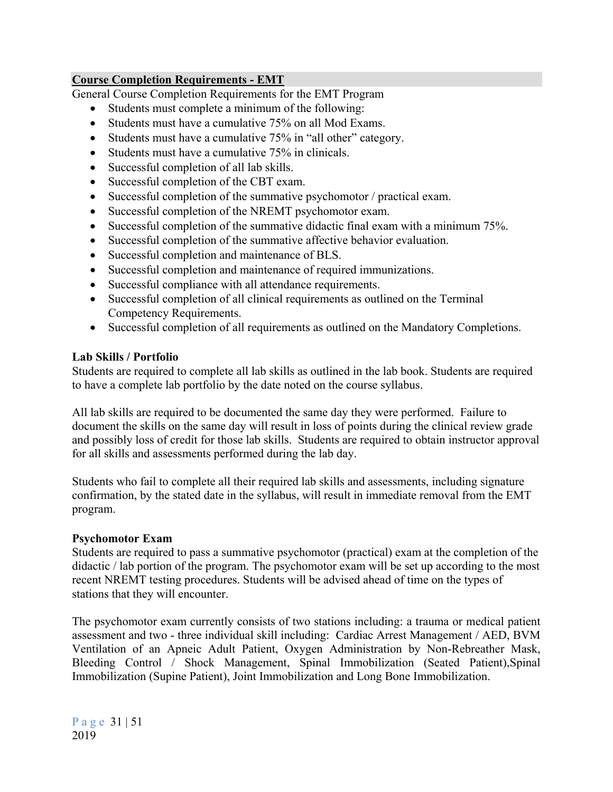## <span id="page-30-0"></span>**Course Completion Requirements - EMT**

General Course Completion Requirements for the EMT Program

- Students must complete a minimum of the following:
- Students must have a cumulative 75% on all Mod Exams.
- Students must have a cumulative 75% in "all other" category.
- Students must have a cumulative 75% in clinicals.
- Successful completion of all lab skills.
- Successful completion of the CBT exam.
- Successful completion of the summative psychomotor / practical exam.
- Successful completion of the NREMT psychomotor exam.
- Successful completion of the summative didactic final exam with a minimum 75%.
- Successful completion of the summative affective behavior evaluation.
- Successful completion and maintenance of BLS.
- Successful completion and maintenance of required immunizations.
- Successful compliance with all attendance requirements.
- Successful completion of all clinical requirements as outlined on the Terminal Competency Requirements.
- Successful completion of all requirements as outlined on the Mandatory Completions.

## <span id="page-30-1"></span>**Lab Skills / Portfolio**

Students are required to complete all lab skills as outlined in the lab book. Students are required to have a complete lab portfolio by the date noted on the course syllabus.

All lab skills are required to be documented the same day they were performed. Failure to document the skills on the same day will result in loss of points during the clinical review grade and possibly loss of credit for those lab skills. Students are required to obtain instructor approval for all skills and assessments performed during the lab day.

Students who fail to complete all their required lab skills and assessments, including signature confirmation, by the stated date in the syllabus, will result in immediate removal from the EMT program.

## <span id="page-30-2"></span>**Psychomotor Exam**

Students are required to pass a summative psychomotor (practical) exam at the completion of the didactic / lab portion of the program. The psychomotor exam will be set up according to the most recent NREMT testing procedures. Students will be advised ahead of time on the types of stations that they will encounter.

The psychomotor exam currently consists of two stations including: a trauma or medical patient assessment and two - three individual skill including: Cardiac Arrest Management / AED, BVM Ventilation of an Apneic Adult Patient, Oxygen Administration by Non-Rebreather Mask, Bleeding Control / Shock Management, Spinal Immobilization (Seated Patient),Spinal Immobilization (Supine Patient), Joint Immobilization and Long Bone Immobilization.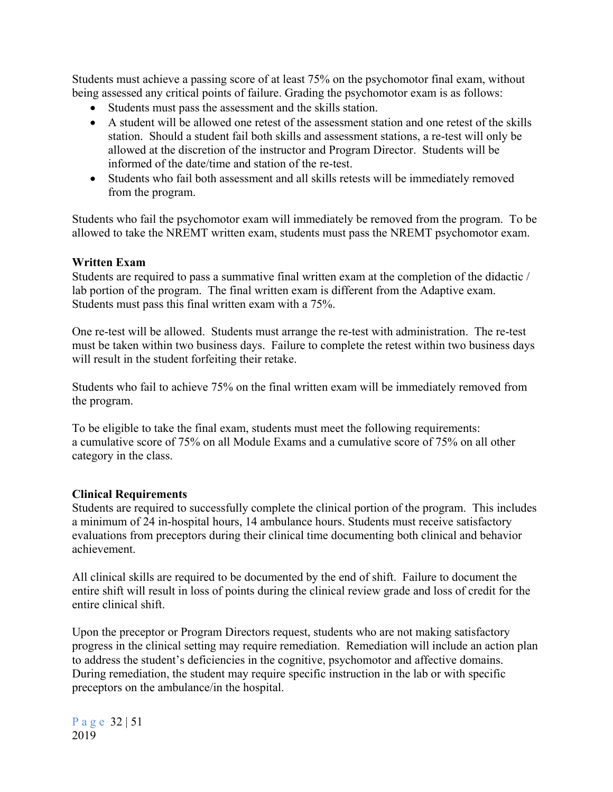Students must achieve a passing score of at least 75% on the psychomotor final exam, without being assessed any critical points of failure. Grading the psychomotor exam is as follows:

- Students must pass the assessment and the skills station.
- A student will be allowed one retest of the assessment station and one retest of the skills station. Should a student fail both skills and assessment stations, a re-test will only be allowed at the discretion of the instructor and Program Director. Students will be informed of the date/time and station of the re-test.
- Students who fail both assessment and all skills retests will be immediately removed from the program.

Students who fail the psychomotor exam will immediately be removed from the program. To be allowed to take the NREMT written exam, students must pass the NREMT psychomotor exam.

## <span id="page-31-0"></span>**Written Exam**

Students are required to pass a summative final written exam at the completion of the didactic / lab portion of the program. The final written exam is different from the Adaptive exam. Students must pass this final written exam with a 75%.

One re-test will be allowed. Students must arrange the re-test with administration. The re-test must be taken within two business days. Failure to complete the retest within two business days will result in the student forfeiting their retake.

Students who fail to achieve 75% on the final written exam will be immediately removed from the program.

To be eligible to take the final exam, students must meet the following requirements: a cumulative score of 75% on all Module Exams and a cumulative score of 75% on all other category in the class.

## <span id="page-31-1"></span>**Clinical Requirements**

Students are required to successfully complete the clinical portion of the program. This includes a minimum of 24 in-hospital hours, 14 ambulance hours. Students must receive satisfactory evaluations from preceptors during their clinical time documenting both clinical and behavior achievement.

All clinical skills are required to be documented by the end of shift. Failure to document the entire shift will result in loss of points during the clinical review grade and loss of credit for the entire clinical shift.

Upon the preceptor or Program Directors request, students who are not making satisfactory progress in the clinical setting may require remediation. Remediation will include an action plan to address the student's deficiencies in the cognitive, psychomotor and affective domains. During remediation, the student may require specific instruction in the lab or with specific preceptors on the ambulance/in the hospital.

Page 32 | 51 2019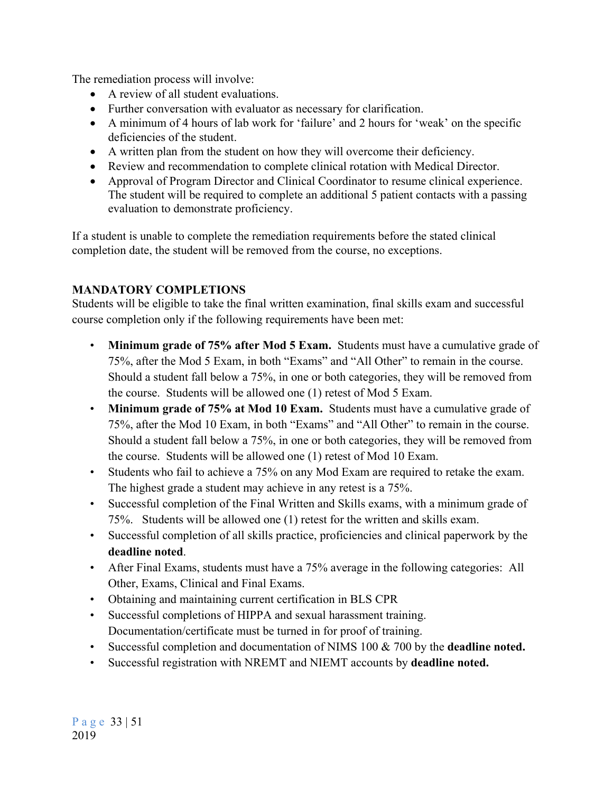The remediation process will involve:

- A review of all student evaluations.
- Further conversation with evaluator as necessary for clarification.
- A minimum of 4 hours of lab work for 'failure' and 2 hours for 'weak' on the specific deficiencies of the student.
- A written plan from the student on how they will overcome their deficiency.
- Review and recommendation to complete clinical rotation with Medical Director.
- Approval of Program Director and Clinical Coordinator to resume clinical experience. The student will be required to complete an additional 5 patient contacts with a passing evaluation to demonstrate proficiency.

If a student is unable to complete the remediation requirements before the stated clinical completion date, the student will be removed from the course, no exceptions.

## **MANDATORY COMPLETIONS**

Students will be eligible to take the final written examination, final skills exam and successful course completion only if the following requirements have been met:

- **Minimum grade of 75% after Mod 5 Exam.** Students must have a cumulative grade of 75%, after the Mod 5 Exam, in both "Exams" and "All Other" to remain in the course. Should a student fall below a 75%, in one or both categories, they will be removed from the course. Students will be allowed one (1) retest of Mod 5 Exam.
- **Minimum grade of 75% at Mod 10 Exam.** Students must have a cumulative grade of 75%, after the Mod 10 Exam, in both "Exams" and "All Other" to remain in the course. Should a student fall below a 75%, in one or both categories, they will be removed from the course. Students will be allowed one (1) retest of Mod 10 Exam.
- Students who fail to achieve a 75% on any Mod Exam are required to retake the exam. The highest grade a student may achieve in any retest is a 75%.
- Successful completion of the Final Written and Skills exams, with a minimum grade of 75%. Students will be allowed one (1) retest for the written and skills exam.
- Successful completion of all skills practice, proficiencies and clinical paperwork by the **deadline noted**.
- After Final Exams, students must have a 75% average in the following categories: All Other, Exams, Clinical and Final Exams.
- Obtaining and maintaining current certification in BLS CPR
- Successful completions of HIPPA and sexual harassment training. Documentation/certificate must be turned in for proof of training.
- Successful completion and documentation of NIMS 100 & 700 by the **deadline noted.**
- Successful registration with NREMT and NIEMT accounts by **deadline noted.**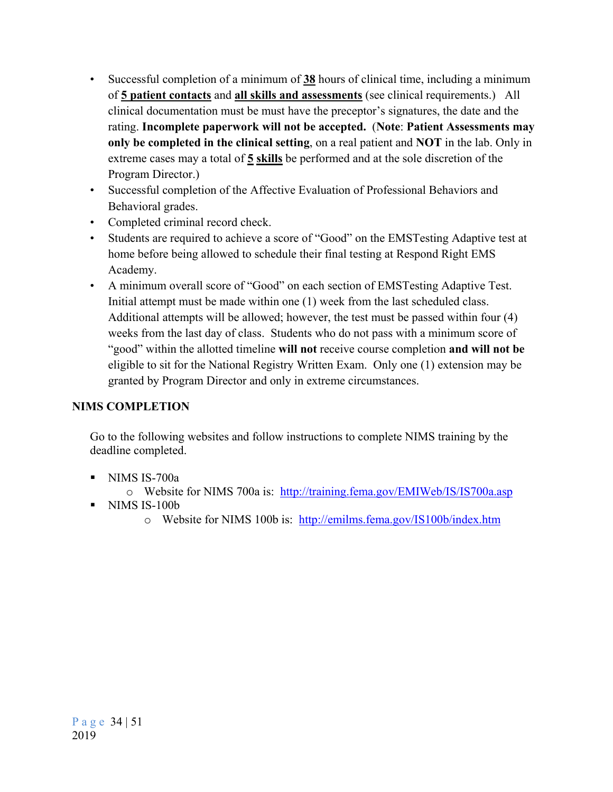- Successful completion of a minimum of **38** hours of clinical time, including a minimum of **5 patient contacts** and **all skills and assessments** (see clinical requirements.) All clinical documentation must be must have the preceptor's signatures, the date and the rating. **Incomplete paperwork will not be accepted.** (**Note**: **Patient Assessments may only be completed in the clinical setting**, on a real patient and **NOT** in the lab. Only in extreme cases may a total of **5 skills** be performed and at the sole discretion of the Program Director.)
- Successful completion of the Affective Evaluation of Professional Behaviors and Behavioral grades.
- Completed criminal record check.
- Students are required to achieve a score of "Good" on the EMSTesting Adaptive test at home before being allowed to schedule their final testing at Respond Right EMS Academy.
- A minimum overall score of "Good" on each section of EMSTesting Adaptive Test. Initial attempt must be made within one (1) week from the last scheduled class. Additional attempts will be allowed; however, the test must be passed within four (4) weeks from the last day of class. Students who do not pass with a minimum score of "good" within the allotted timeline **will not** receive course completion **and will not be** eligible to sit for the National Registry Written Exam. Only one (1) extension may be granted by Program Director and only in extreme circumstances.

## <span id="page-33-0"></span>**NIMS COMPLETION**

Go to the following websites and follow instructions to complete NIMS training by the deadline completed.

- **NIMS IS-700a** 
	- o Website for NIMS 700a is: <http://training.fema.gov/EMIWeb/IS/IS700a.asp>
- NIMS IS-100b
	- o Website for NIMS 100b is: <http://emilms.fema.gov/IS100b/index.htm>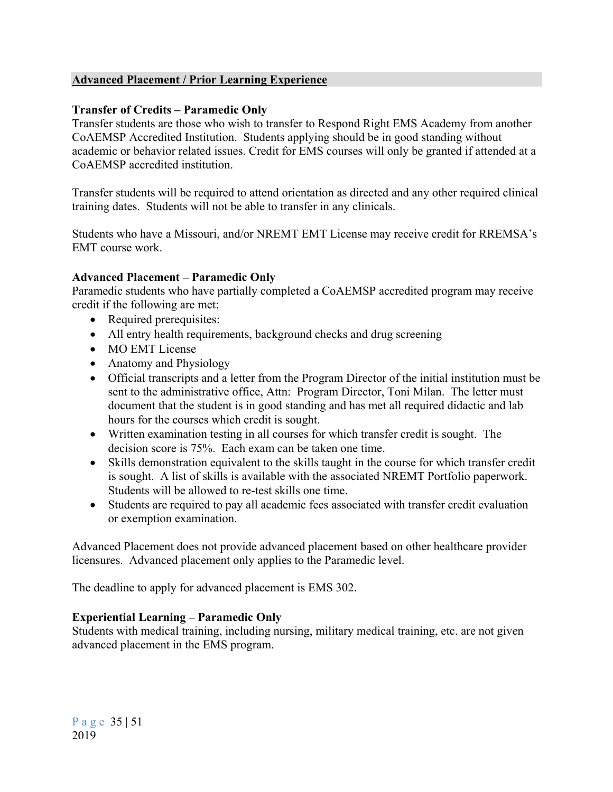## <span id="page-34-0"></span>**Advanced Placement / Prior Learning Experience**

## <span id="page-34-1"></span>**Transfer of Credits – Paramedic Only**

Transfer students are those who wish to transfer to Respond Right EMS Academy from another CoAEMSP Accredited Institution. Students applying should be in good standing without academic or behavior related issues. Credit for EMS courses will only be granted if attended at a CoAEMSP accredited institution.

Transfer students will be required to attend orientation as directed and any other required clinical training dates. Students will not be able to transfer in any clinicals.

Students who have a Missouri, and/or NREMT EMT License may receive credit for RREMSA's EMT course work.

## <span id="page-34-2"></span>**Advanced Placement – Paramedic Only**

Paramedic students who have partially completed a CoAEMSP accredited program may receive credit if the following are met:

- Required prerequisites:
- All entry health requirements, background checks and drug screening
- MO EMT License
- Anatomy and Physiology
- Official transcripts and a letter from the Program Director of the initial institution must be sent to the administrative office, Attn: Program Director, Toni Milan. The letter must document that the student is in good standing and has met all required didactic and lab hours for the courses which credit is sought.
- Written examination testing in all courses for which transfer credit is sought. The decision score is 75%. Each exam can be taken one time.
- Skills demonstration equivalent to the skills taught in the course for which transfer credit is sought. A list of skills is available with the associated NREMT Portfolio paperwork. Students will be allowed to re-test skills one time.
- Students are required to pay all academic fees associated with transfer credit evaluation or exemption examination.

Advanced Placement does not provide advanced placement based on other healthcare provider licensures. Advanced placement only applies to the Paramedic level.

The deadline to apply for advanced placement is EMS 302.

## <span id="page-34-3"></span>**Experiential Learning – Paramedic Only**

Students with medical training, including nursing, military medical training, etc. are not given advanced placement in the EMS program.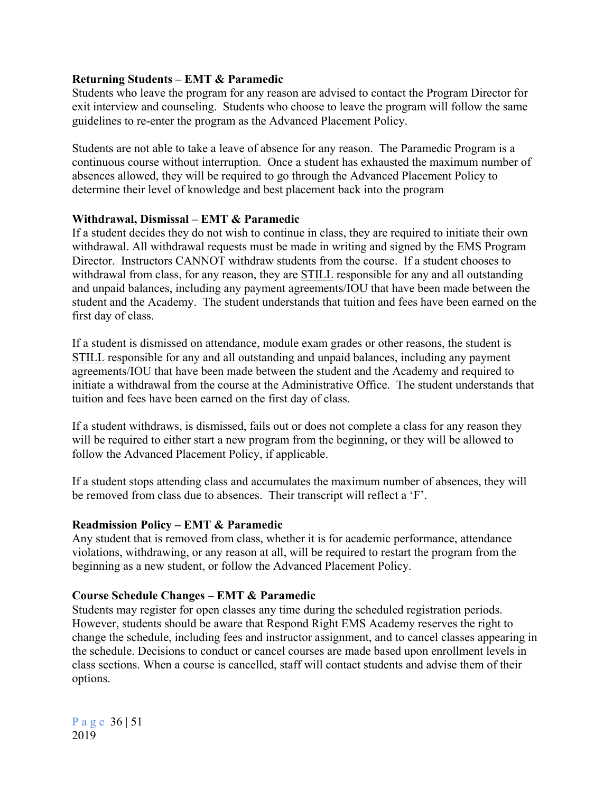#### <span id="page-35-0"></span>**Returning Students – EMT & Paramedic**

Students who leave the program for any reason are advised to contact the Program Director for exit interview and counseling. Students who choose to leave the program will follow the same guidelines to re-enter the program as the Advanced Placement Policy.

Students are not able to take a leave of absence for any reason. The Paramedic Program is a continuous course without interruption. Once a student has exhausted the maximum number of absences allowed, they will be required to go through the Advanced Placement Policy to determine their level of knowledge and best placement back into the program

### <span id="page-35-1"></span>**Withdrawal, Dismissal – EMT & Paramedic**

If a student decides they do not wish to continue in class, they are required to initiate their own withdrawal. All withdrawal requests must be made in writing and signed by the EMS Program Director. Instructors CANNOT withdraw students from the course. If a student chooses to withdrawal from class, for any reason, they are STILL responsible for any and all outstanding and unpaid balances, including any payment agreements/IOU that have been made between the student and the Academy. The student understands that tuition and fees have been earned on the first day of class.

If a student is dismissed on attendance, module exam grades or other reasons, the student is STILL responsible for any and all outstanding and unpaid balances, including any payment agreements/IOU that have been made between the student and the Academy and required to initiate a withdrawal from the course at the Administrative Office. The student understands that tuition and fees have been earned on the first day of class.

If a student withdraws, is dismissed, fails out or does not complete a class for any reason they will be required to either start a new program from the beginning, or they will be allowed to follow the Advanced Placement Policy, if applicable.

If a student stops attending class and accumulates the maximum number of absences, they will be removed from class due to absences. Their transcript will reflect a 'F'.

#### <span id="page-35-2"></span>**Readmission Policy – EMT & Paramedic**

Any student that is removed from class, whether it is for academic performance, attendance violations, withdrawing, or any reason at all, will be required to restart the program from the beginning as a new student, or follow the Advanced Placement Policy.

#### <span id="page-35-3"></span>**Course Schedule Changes – EMT & Paramedic**

Students may register for open classes any time during the scheduled registration periods. However, students should be aware that Respond Right EMS Academy reserves the right to change the schedule, including fees and instructor assignment, and to cancel classes appearing in the schedule. Decisions to conduct or cancel courses are made based upon enrollment levels in class sections. When a course is cancelled, staff will contact students and advise them of their options.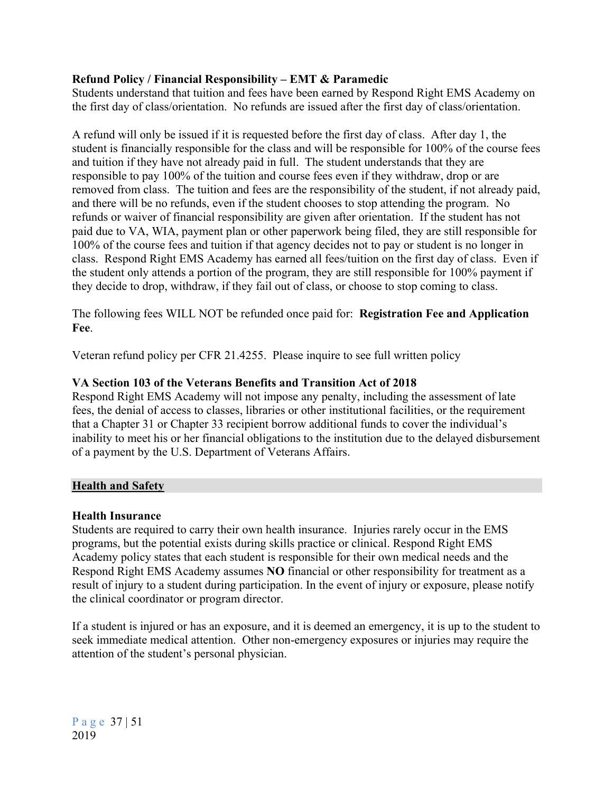### <span id="page-36-0"></span>**Refund Policy / Financial Responsibility – EMT & Paramedic**

Students understand that tuition and fees have been earned by Respond Right EMS Academy on the first day of class/orientation. No refunds are issued after the first day of class/orientation.

A refund will only be issued if it is requested before the first day of class. After day 1, the student is financially responsible for the class and will be responsible for 100% of the course fees and tuition if they have not already paid in full. The student understands that they are responsible to pay 100% of the tuition and course fees even if they withdraw, drop or are removed from class. The tuition and fees are the responsibility of the student, if not already paid, and there will be no refunds, even if the student chooses to stop attending the program. No refunds or waiver of financial responsibility are given after orientation. If the student has not paid due to VA, WIA, payment plan or other paperwork being filed, they are still responsible for 100% of the course fees and tuition if that agency decides not to pay or student is no longer in class. Respond Right EMS Academy has earned all fees/tuition on the first day of class. Even if the student only attends a portion of the program, they are still responsible for 100% payment if they decide to drop, withdraw, if they fail out of class, or choose to stop coming to class.

The following fees WILL NOT be refunded once paid for: **Registration Fee and Application Fee**.

Veteran refund policy per CFR 21.4255. Please inquire to see full written policy

### **VA Section 103 of the Veterans Benefits and Transition Act of 2018**

Respond Right EMS Academy will not impose any penalty, including the assessment of late fees, the denial of access to classes, libraries or other institutional facilities, or the requirement that a Chapter 31 or Chapter 33 recipient borrow additional funds to cover the individual's inability to meet his or her financial obligations to the institution due to the delayed disbursement of a payment by the U.S. Department of Veterans Affairs.

#### <span id="page-36-1"></span>**Health and Safety**

#### <span id="page-36-2"></span>**Health Insurance**

Students are required to carry their own health insurance. Injuries rarely occur in the EMS programs, but the potential exists during skills practice or clinical. Respond Right EMS Academy policy states that each student is responsible for their own medical needs and the Respond Right EMS Academy assumes **NO** financial or other responsibility for treatment as a result of injury to a student during participation. In the event of injury or exposure, please notify the clinical coordinator or program director.

If a student is injured or has an exposure, and it is deemed an emergency, it is up to the student to seek immediate medical attention. Other non-emergency exposures or injuries may require the attention of the student's personal physician.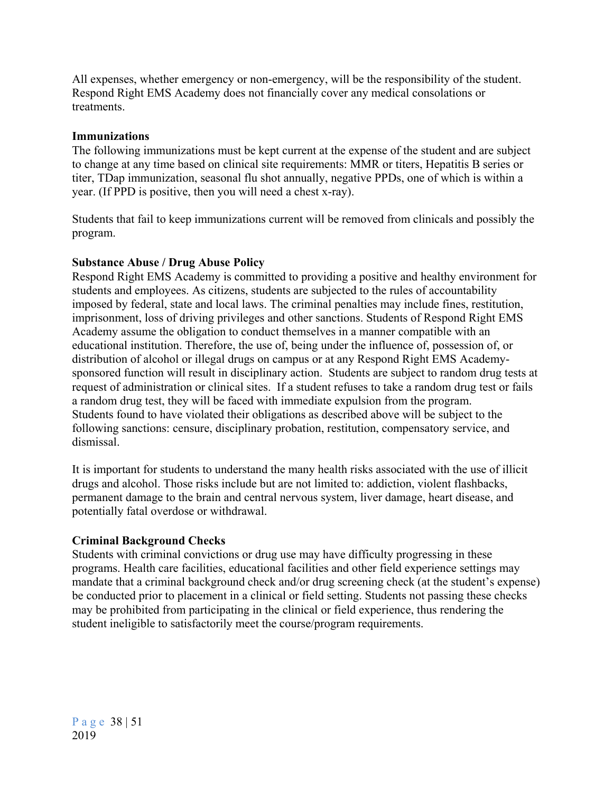All expenses, whether emergency or non-emergency, will be the responsibility of the student. Respond Right EMS Academy does not financially cover any medical consolations or treatments.

### <span id="page-37-0"></span>**Immunizations**

The following immunizations must be kept current at the expense of the student and are subject to change at any time based on clinical site requirements: MMR or titers, Hepatitis B series or titer, TDap immunization, seasonal flu shot annually, negative PPDs, one of which is within a year. (If PPD is positive, then you will need a chest x-ray).

Students that fail to keep immunizations current will be removed from clinicals and possibly the program.

### <span id="page-37-1"></span>**Substance Abuse / Drug Abuse Policy**

Respond Right EMS Academy is committed to providing a positive and healthy environment for students and employees. As citizens, students are subjected to the rules of accountability imposed by federal, state and local laws. The criminal penalties may include fines, restitution, imprisonment, loss of driving privileges and other sanctions. Students of Respond Right EMS Academy assume the obligation to conduct themselves in a manner compatible with an educational institution. Therefore, the use of, being under the influence of, possession of, or distribution of alcohol or illegal drugs on campus or at any Respond Right EMS Academysponsored function will result in disciplinary action. Students are subject to random drug tests at request of administration or clinical sites. If a student refuses to take a random drug test or fails a random drug test, they will be faced with immediate expulsion from the program. Students found to have violated their obligations as described above will be subject to the following sanctions: censure, disciplinary probation, restitution, compensatory service, and dismissal.

It is important for students to understand the many health risks associated with the use of illicit drugs and alcohol. Those risks include but are not limited to: addiction, violent flashbacks, permanent damage to the brain and central nervous system, liver damage, heart disease, and potentially fatal overdose or withdrawal.

#### <span id="page-37-2"></span>**Criminal Background Checks**

Students with criminal convictions or drug use may have difficulty progressing in these programs. Health care facilities, educational facilities and other field experience settings may mandate that a criminal background check and/or drug screening check (at the student's expense) be conducted prior to placement in a clinical or field setting. Students not passing these checks may be prohibited from participating in the clinical or field experience, thus rendering the student ineligible to satisfactorily meet the course/program requirements.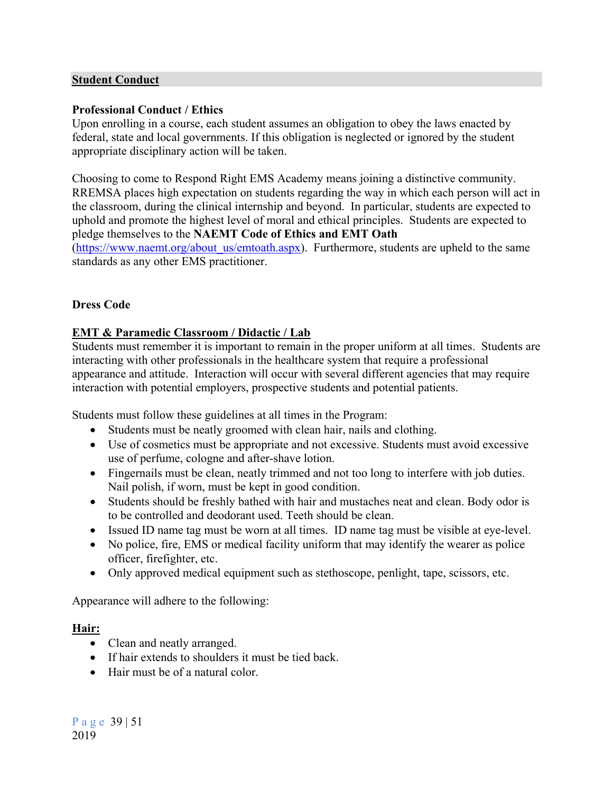#### <span id="page-38-0"></span>**Student Conduct**

### <span id="page-38-1"></span>**Professional Conduct / Ethics**

Upon enrolling in a course, each student assumes an obligation to obey the laws enacted by federal, state and local governments. If this obligation is neglected or ignored by the student appropriate disciplinary action will be taken.

Choosing to come to Respond Right EMS Academy means joining a distinctive community. RREMSA places high expectation on students regarding the way in which each person will act in the classroom, during the clinical internship and beyond. In particular, students are expected to uphold and promote the highest level of moral and ethical principles. Students are expected to pledge themselves to the **NAEMT Code of Ethics and EMT Oath**

[\(https://www.naemt.org/about\\_us/emtoath.aspx\)](https://www.naemt.org/about_us/emtoath.aspx). Furthermore, students are upheld to the same standards as any other EMS practitioner.

### <span id="page-38-2"></span>**Dress Code**

## **EMT & Paramedic Classroom / Didactic / Lab**

Students must remember it is important to remain in the proper uniform at all times. Students are interacting with other professionals in the healthcare system that require a professional appearance and attitude. Interaction will occur with several different agencies that may require interaction with potential employers, prospective students and potential patients.

Students must follow these guidelines at all times in the Program:

- Students must be neatly groomed with clean hair, nails and clothing.
- Use of cosmetics must be appropriate and not excessive. Students must avoid excessive use of perfume, cologne and after-shave lotion.
- Fingernails must be clean, neatly trimmed and not too long to interfere with job duties. Nail polish, if worn, must be kept in good condition.
- Students should be freshly bathed with hair and mustaches neat and clean. Body odor is to be controlled and deodorant used. Teeth should be clean.
- Issued ID name tag must be worn at all times. ID name tag must be visible at eye-level.
- No police, fire, EMS or medical facility uniform that may identify the wearer as police officer, firefighter, etc.
- Only approved medical equipment such as stethoscope, penlight, tape, scissors, etc.

Appearance will adhere to the following:

#### **Hair:**

- Clean and neatly arranged.
- If hair extends to shoulders it must be tied back.
- Hair must be of a natural color.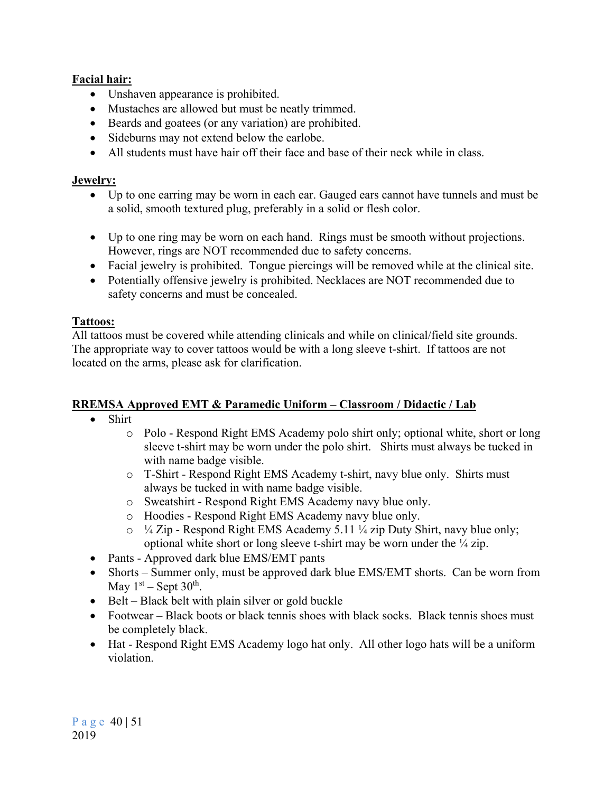## **Facial hair:**

- Unshaven appearance is prohibited.
- Mustaches are allowed but must be neatly trimmed.
- Beards and goatees (or any variation) are prohibited.
- Sideburns may not extend below the earlobe.
- All students must have hair off their face and base of their neck while in class.

### **Jewelry:**

- Up to one earring may be worn in each ear. Gauged ears cannot have tunnels and must be a solid, smooth textured plug, preferably in a solid or flesh color.
- Up to one ring may be worn on each hand. Rings must be smooth without projections. However, rings are NOT recommended due to safety concerns.
- Facial jewelry is prohibited. Tongue piercings will be removed while at the clinical site.
- Potentially offensive jewelry is prohibited. Necklaces are NOT recommended due to safety concerns and must be concealed.

### **Tattoos:**

All tattoos must be covered while attending clinicals and while on clinical/field site grounds. The appropriate way to cover tattoos would be with a long sleeve t-shirt. If tattoos are not located on the arms, please ask for clarification.

## **RREMSA Approved EMT & Paramedic Uniform – Classroom / Didactic / Lab**

- Shirt
	- o Polo Respond Right EMS Academy polo shirt only; optional white, short or long sleeve t-shirt may be worn under the polo shirt. Shirts must always be tucked in with name badge visible.
	- o T-Shirt Respond Right EMS Academy t-shirt, navy blue only. Shirts must always be tucked in with name badge visible.
	- o Sweatshirt Respond Right EMS Academy navy blue only.
	- o Hoodies Respond Right EMS Academy navy blue only.
	- $\circ$  <sup>1</sup>/4 Zip Respond Right EMS Academy 5.11 <sup>1</sup>/4 zip Duty Shirt, navy blue only; optional white short or long sleeve t-shirt may be worn under the  $\frac{1}{4}$  zip.
- Pants Approved dark blue EMS/EMT pants
- Shorts Summer only, must be approved dark blue EMS/EMT shorts. Can be worn from May  $1<sup>st</sup>$  – Sept 30<sup>th</sup>.
- Belt Black belt with plain silver or gold buckle
- Footwear Black boots or black tennis shoes with black socks. Black tennis shoes must be completely black.
- Hat Respond Right EMS Academy logo hat only. All other logo hats will be a uniform violation.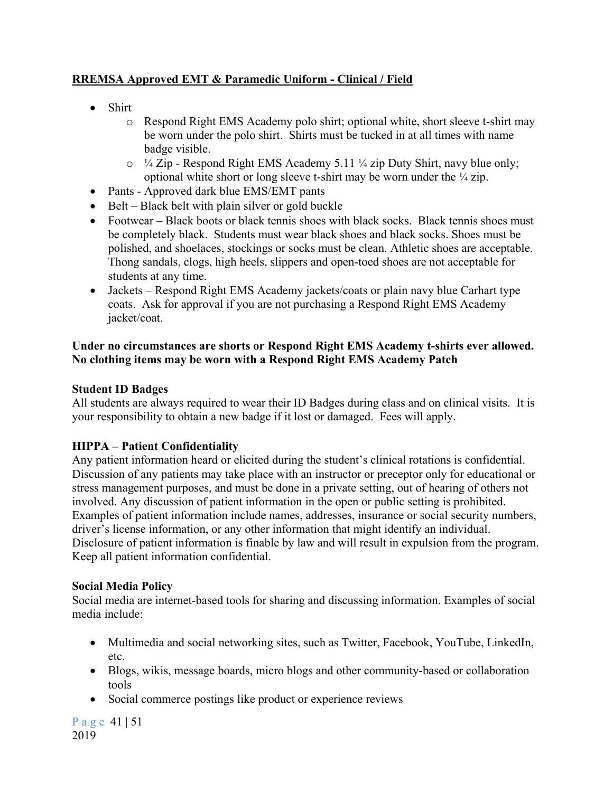## **RREMSA Approved EMT & Paramedic Uniform - Clinical / Field**

- Shirt
	- o Respond Right EMS Academy polo shirt; optional white, short sleeve t-shirt may be worn under the polo shirt. Shirts must be tucked in at all times with name badge visible.
	- $\circ$  ¼ Zip Respond Right EMS Academy 5.11 ¼ zip Duty Shirt, navy blue only; optional white short or long sleeve t-shirt may be worn under the  $\frac{1}{4}$  zip.
- Pants Approved dark blue EMS/EMT pants
- Belt Black belt with plain silver or gold buckle
- Footwear Black boots or black tennis shoes with black socks. Black tennis shoes must be completely black. Students must wear black shoes and black socks. Shoes must be polished, and shoelaces, stockings or socks must be clean. Athletic shoes are acceptable. Thong sandals, clogs, high heels, slippers and open-toed shoes are not acceptable for students at any time.
- Jackets Respond Right EMS Academy jackets/coats or plain navy blue Carhart type coats. Ask for approval if you are not purchasing a Respond Right EMS Academy jacket/coat.

## **Under no circumstances are shorts or Respond Right EMS Academy t-shirts ever allowed. No clothing items may be worn with a Respond Right EMS Academy Patch**

## <span id="page-40-0"></span>**Student ID Badges**

All students are always required to wear their ID Badges during class and on clinical visits. It is your responsibility to obtain a new badge if it lost or damaged. Fees will apply.

## <span id="page-40-1"></span>**HIPPA – Patient Confidentiality**

Any patient information heard or elicited during the student's clinical rotations is confidential. Discussion of any patients may take place with an instructor or preceptor only for educational or stress management purposes, and must be done in a private setting, out of hearing of others not involved. Any discussion of patient information in the open or public setting is prohibited. Examples of patient information include names, addresses, insurance or social security numbers, driver's license information, or any other information that might identify an individual. Disclosure of patient information is finable by law and will result in expulsion from the program. Keep all patient information confidential.

## <span id="page-40-2"></span>**Social Media Policy**

Social media are internet-based tools for sharing and discussing information. Examples of social media include:

- Multimedia and social networking sites, such as Twitter, Facebook, YouTube, LinkedIn, etc.
- Blogs, wikis, message boards, micro blogs and other community-based or collaboration tools
- Social commerce postings like product or experience reviews

Page 41 | 51 2019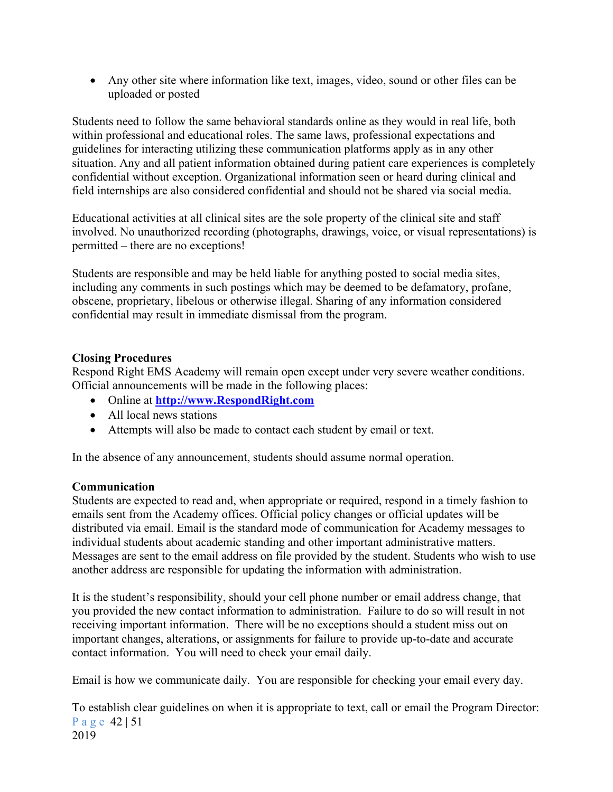• Any other site where information like text, images, video, sound or other files can be uploaded or posted

Students need to follow the same behavioral standards online as they would in real life, both within professional and educational roles. The same laws, professional expectations and guidelines for interacting utilizing these communication platforms apply as in any other situation. Any and all patient information obtained during patient care experiences is completely confidential without exception. Organizational information seen or heard during clinical and field internships are also considered confidential and should not be shared via social media.

Educational activities at all clinical sites are the sole property of the clinical site and staff involved. No unauthorized recording (photographs, drawings, voice, or visual representations) is permitted – there are no exceptions!

Students are responsible and may be held liable for anything posted to social media sites, including any comments in such postings which may be deemed to be defamatory, profane, obscene, proprietary, libelous or otherwise illegal. Sharing of any information considered confidential may result in immediate dismissal from the program.

### <span id="page-41-0"></span>**Closing Procedures**

Respond Right EMS Academy will remain open except under very severe weather conditions. Official announcements will be made in the following places:

- Online at **[http://www.RespondRight.com](http://www.respondright.com/)**
- All local news stations
- Attempts will also be made to contact each student by email or text.

In the absence of any announcement, students should assume normal operation.

## <span id="page-41-1"></span>**Communication**

Students are expected to read and, when appropriate or required, respond in a timely fashion to emails sent from the Academy offices. Official policy changes or official updates will be distributed via email. Email is the standard mode of communication for Academy messages to individual students about academic standing and other important administrative matters. Messages are sent to the email address on file provided by the student. Students who wish to use another address are responsible for updating the information with administration.

It is the student's responsibility, should your cell phone number or email address change, that you provided the new contact information to administration. Failure to do so will result in not receiving important information. There will be no exceptions should a student miss out on important changes, alterations, or assignments for failure to provide up-to-date and accurate contact information. You will need to check your email daily.

Email is how we communicate daily. You are responsible for checking your email every day.

Page 42 | 51 2019 To establish clear guidelines on when it is appropriate to text, call or email the Program Director: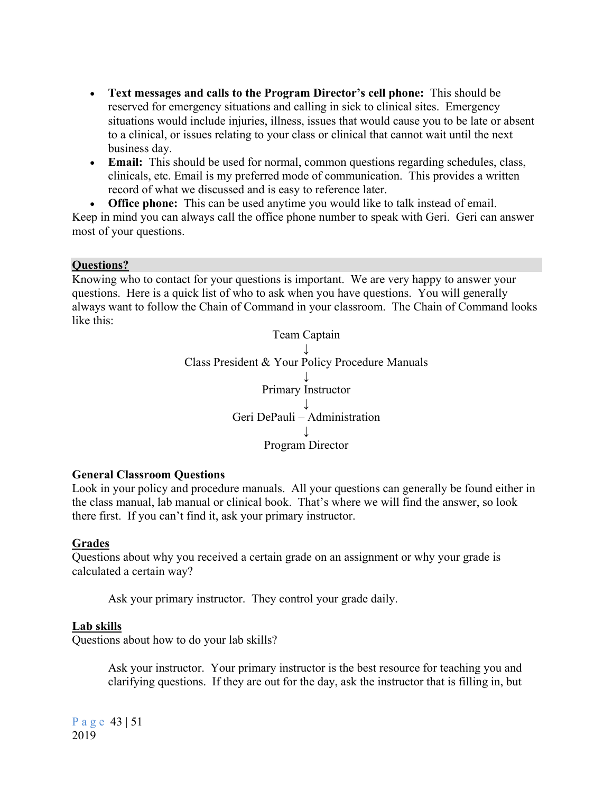- **Text messages and calls to the Program Director's cell phone:** This should be reserved for emergency situations and calling in sick to clinical sites. Emergency situations would include injuries, illness, issues that would cause you to be late or absent to a clinical, or issues relating to your class or clinical that cannot wait until the next business day.
- **Email:** This should be used for normal, common questions regarding schedules, class, clinicals, etc. Email is my preferred mode of communication. This provides a written record of what we discussed and is easy to reference later.

• **Office phone:** This can be used anytime you would like to talk instead of email. Keep in mind you can always call the office phone number to speak with Geri. Geri can answer most of your questions.

#### <span id="page-42-0"></span>**Questions?**

Knowing who to contact for your questions is important. We are very happy to answer your questions. Here is a quick list of who to ask when you have questions. You will generally always want to follow the Chain of Command in your classroom. The Chain of Command looks like this:



#### <span id="page-42-1"></span>**General Classroom Questions**

Look in your policy and procedure manuals. All your questions can generally be found either in the class manual, lab manual or clinical book. That's where we will find the answer, so look there first. If you can't find it, ask your primary instructor.

#### **Grades**

Questions about why you received a certain grade on an assignment or why your grade is calculated a certain way?

Ask your primary instructor. They control your grade daily.

#### **Lab skills**

Questions about how to do your lab skills?

Ask your instructor. Your primary instructor is the best resource for teaching you and clarifying questions. If they are out for the day, ask the instructor that is filling in, but

Page 43 | 51 2019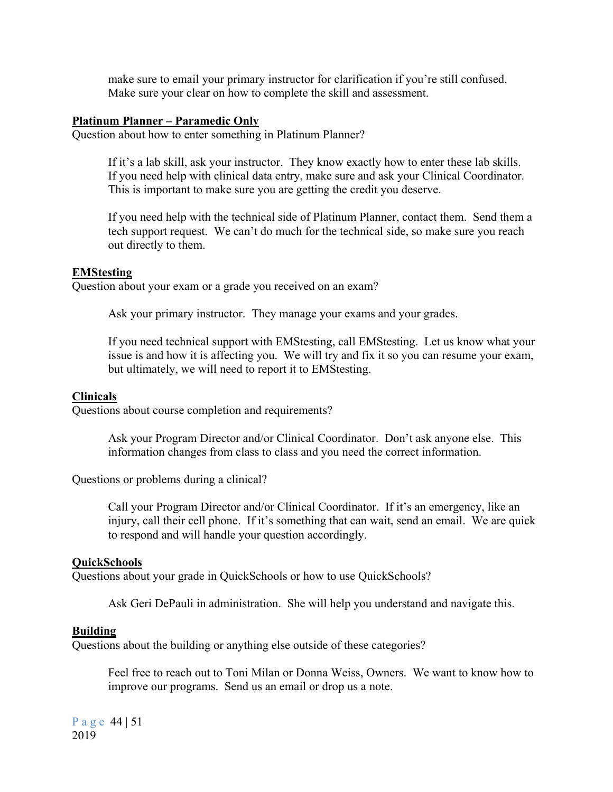make sure to email your primary instructor for clarification if you're still confused. Make sure your clear on how to complete the skill and assessment.

#### **Platinum Planner – Paramedic Only**

Question about how to enter something in Platinum Planner?

If it's a lab skill, ask your instructor. They know exactly how to enter these lab skills. If you need help with clinical data entry, make sure and ask your Clinical Coordinator. This is important to make sure you are getting the credit you deserve.

If you need help with the technical side of Platinum Planner, contact them. Send them a tech support request. We can't do much for the technical side, so make sure you reach out directly to them.

#### **EMStesting**

Question about your exam or a grade you received on an exam?

Ask your primary instructor. They manage your exams and your grades.

If you need technical support with EMStesting, call EMStesting. Let us know what your issue is and how it is affecting you. We will try and fix it so you can resume your exam, but ultimately, we will need to report it to EMStesting.

#### **Clinicals**

Questions about course completion and requirements?

Ask your Program Director and/or Clinical Coordinator. Don't ask anyone else. This information changes from class to class and you need the correct information.

Questions or problems during a clinical?

Call your Program Director and/or Clinical Coordinator. If it's an emergency, like an injury, call their cell phone. If it's something that can wait, send an email. We are quick to respond and will handle your question accordingly.

#### **QuickSchools**

Questions about your grade in QuickSchools or how to use QuickSchools?

Ask Geri DePauli in administration. She will help you understand and navigate this.

#### **Building**

Questions about the building or anything else outside of these categories?

Feel free to reach out to Toni Milan or Donna Weiss, Owners. We want to know how to improve our programs. Send us an email or drop us a note.

Page 44 | 51 2019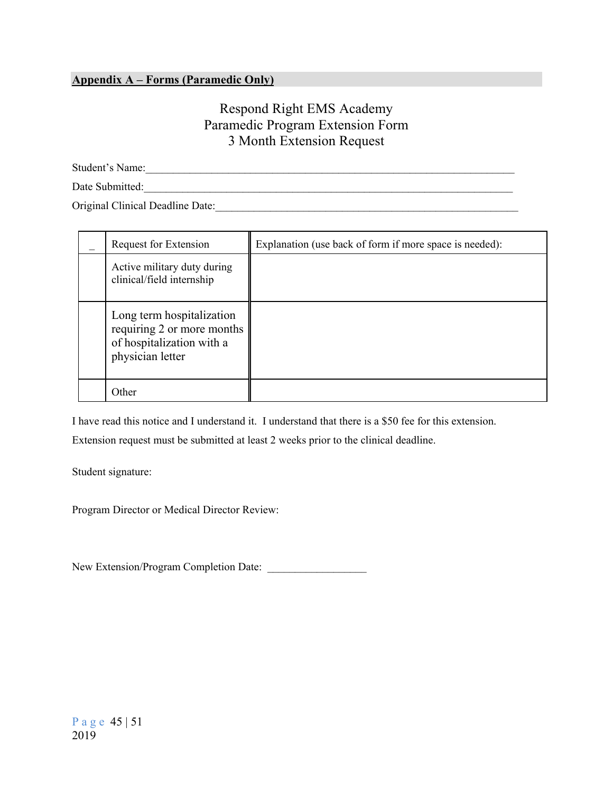### <span id="page-44-0"></span>**Appendix A – Forms (Paramedic Only)**

## Respond Right EMS Academy Paramedic Program Extension Form 3 Month Extension Request

Student's Name:\_\_\_\_\_\_\_\_\_\_\_\_\_\_\_\_\_\_\_\_\_\_\_\_\_\_\_\_\_\_\_\_\_\_\_\_\_\_\_\_\_\_\_\_\_\_\_\_\_\_\_\_\_\_\_\_\_\_\_\_\_\_\_\_\_\_\_

Date Submitted:\_\_\_\_\_\_\_\_\_\_\_\_\_\_\_\_\_\_\_\_\_\_\_\_\_\_\_\_\_\_\_\_\_\_\_\_\_\_\_\_\_\_\_\_\_\_\_\_\_\_\_\_\_\_\_\_\_\_\_\_\_\_\_\_\_\_\_

Original Clinical Deadline Date:\_\_\_\_\_\_\_\_\_\_\_\_\_\_\_\_\_\_\_\_\_\_\_\_\_\_\_\_\_\_\_\_\_\_\_\_\_\_\_\_\_\_\_\_\_\_\_\_\_\_\_\_\_\_\_

| Request for Extension                                                                                    | Explanation (use back of form if more space is needed): |
|----------------------------------------------------------------------------------------------------------|---------------------------------------------------------|
| Active military duty during<br>clinical/field internship                                                 |                                                         |
| Long term hospitalization<br>requiring 2 or more months<br>of hospitalization with a<br>physician letter |                                                         |
| Other                                                                                                    |                                                         |

I have read this notice and I understand it. I understand that there is a \$50 fee for this extension.

Extension request must be submitted at least 2 weeks prior to the clinical deadline.

Student signature:

Program Director or Medical Director Review:

New Extension/Program Completion Date: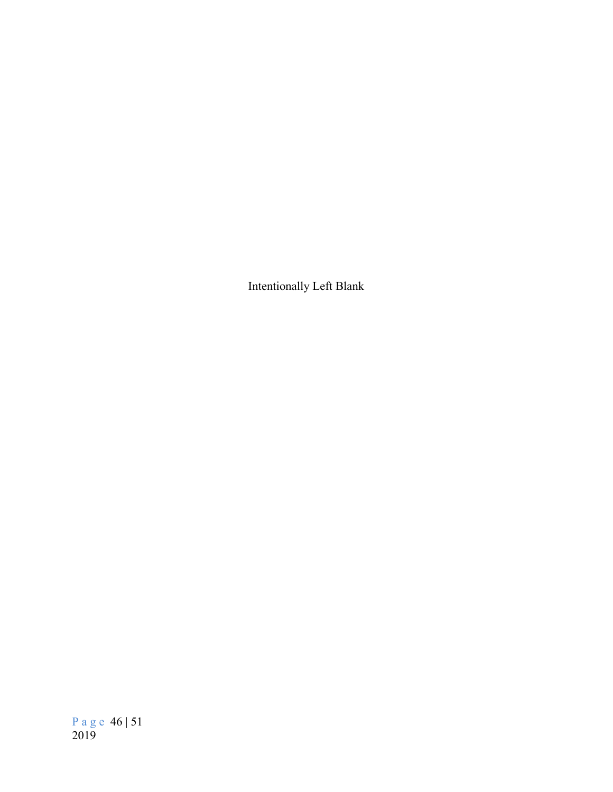Intentionally Left Blank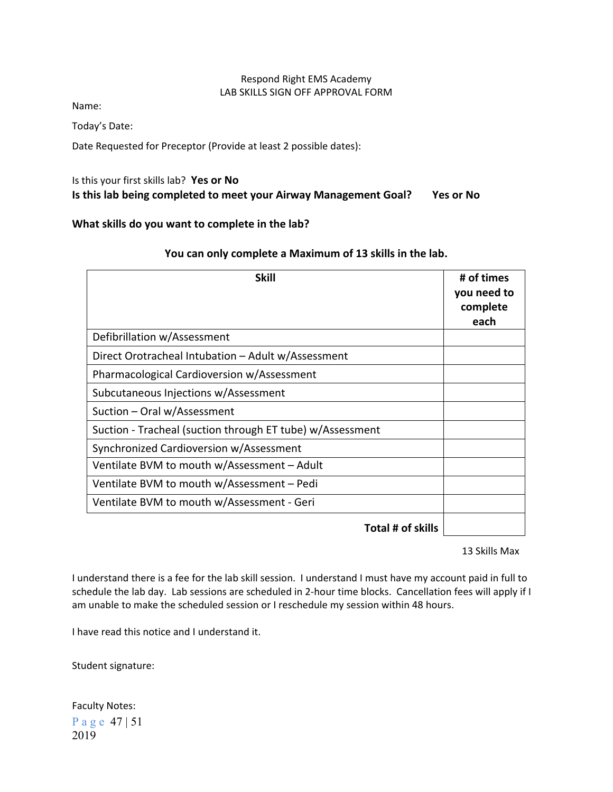#### Respond Right EMS Academy LAB SKILLS SIGN OFF APPROVAL FORM

Name:

Today's Date:

Date Requested for Preceptor (Provide at least 2 possible dates):

### Is this your first skills lab? **Yes or No Is this lab being completed to meet your Airway Management Goal? Yes or No**

## **What skills do you want to complete in the lab?**

#### **You can only complete a Maximum of 13 skills in the lab.**

| <b>Skill</b>                                              | # of times<br>you need to<br>complete<br>each |
|-----------------------------------------------------------|-----------------------------------------------|
| Defibrillation w/Assessment                               |                                               |
| Direct Orotracheal Intubation - Adult w/Assessment        |                                               |
| Pharmacological Cardioversion w/Assessment                |                                               |
| Subcutaneous Injections w/Assessment                      |                                               |
| Suction - Oral w/Assessment                               |                                               |
| Suction - Tracheal (suction through ET tube) w/Assessment |                                               |
| Synchronized Cardioversion w/Assessment                   |                                               |
| Ventilate BVM to mouth w/Assessment - Adult               |                                               |
| Ventilate BVM to mouth w/Assessment – Pedi                |                                               |
| Ventilate BVM to mouth w/Assessment - Geri                |                                               |
| Total # of skills                                         |                                               |

13 Skills Max

I understand there is a fee for the lab skill session. I understand I must have my account paid in full to schedule the lab day. Lab sessions are scheduled in 2-hour time blocks. Cancellation fees will apply if I am unable to make the scheduled session or I reschedule my session within 48 hours.

I have read this notice and I understand it.

Student signature:

Page 47 | 51 2019 Faculty Notes: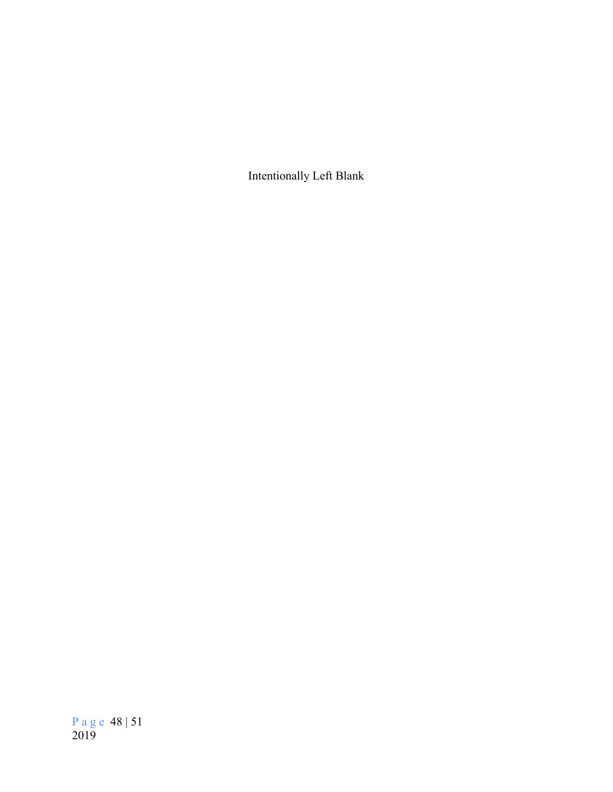Intentionally Left Blank

Page 48 | 51 2019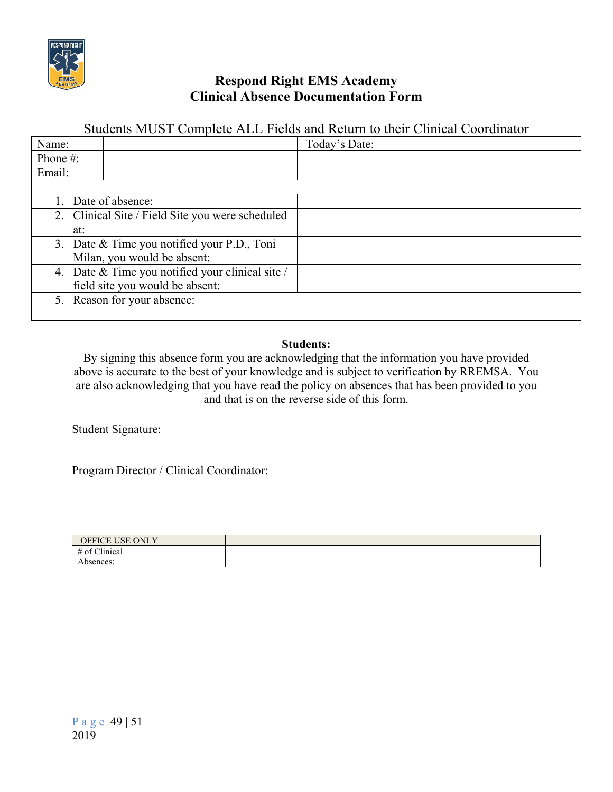

## **Respond Right EMS Academy Clinical Absence Documentation Form**

## Students MUST Complete ALL Fields and Return to their Clinical Coordinator

| Name:       |                                                  | Today's Date: |  |
|-------------|--------------------------------------------------|---------------|--|
| Phone $#$ : |                                                  |               |  |
| Email:      |                                                  |               |  |
|             |                                                  |               |  |
|             | 1. Date of absence:                              |               |  |
|             | 2. Clinical Site / Field Site you were scheduled |               |  |
| at:         |                                                  |               |  |
|             | 3. Date & Time you notified your P.D., Toni      |               |  |
|             | Milan, you would be absent:                      |               |  |
|             | 4. Date & Time you notified your clinical site / |               |  |
|             | field site you would be absent:                  |               |  |
|             | 5. Reason for your absence:                      |               |  |
|             |                                                  |               |  |

## **Students:**

By signing this absence form you are acknowledging that the information you have provided above is accurate to the best of your knowledge and is subject to verification by RREMSA. You are also acknowledging that you have read the policy on absences that has been provided to you and that is on the reverse side of this form.

Student Signature:

Program Director / Clinical Coordinator:

| OFFICE USE ONLY |  |  |
|-----------------|--|--|
| $#$ of Clinical |  |  |
| Absences:       |  |  |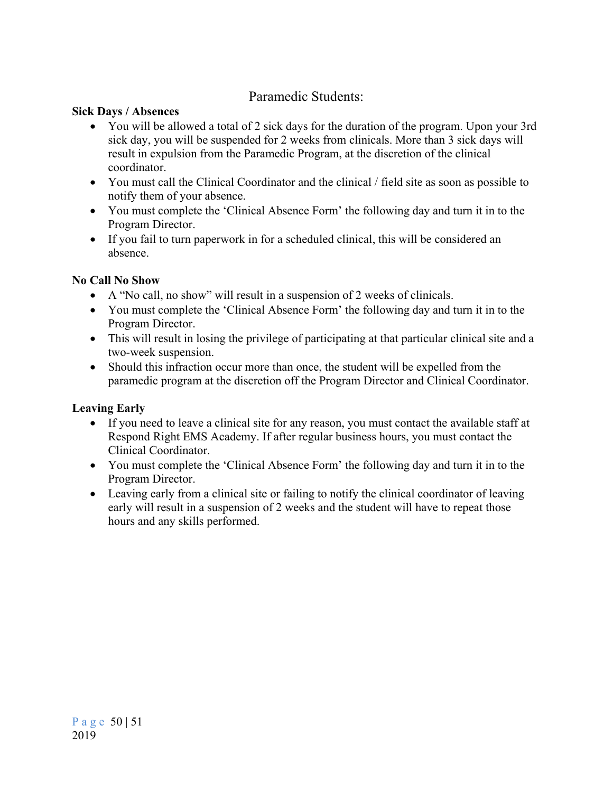## Paramedic Students:

## **Sick Days / Absences**

- You will be allowed a total of 2 sick days for the duration of the program. Upon your 3rd sick day, you will be suspended for 2 weeks from clinicals. More than 3 sick days will result in expulsion from the Paramedic Program, at the discretion of the clinical coordinator.
- You must call the Clinical Coordinator and the clinical / field site as soon as possible to notify them of your absence.
- You must complete the 'Clinical Absence Form' the following day and turn it in to the Program Director.
- If you fail to turn paperwork in for a scheduled clinical, this will be considered an absence.

## **No Call No Show**

- A "No call, no show" will result in a suspension of 2 weeks of clinicals.
- You must complete the 'Clinical Absence Form' the following day and turn it in to the Program Director.
- This will result in losing the privilege of participating at that particular clinical site and a two-week suspension.
- Should this infraction occur more than once, the student will be expelled from the paramedic program at the discretion off the Program Director and Clinical Coordinator.

## **Leaving Early**

- If you need to leave a clinical site for any reason, you must contact the available staff at Respond Right EMS Academy. If after regular business hours, you must contact the Clinical Coordinator.
- You must complete the 'Clinical Absence Form' the following day and turn it in to the Program Director.
- Leaving early from a clinical site or failing to notify the clinical coordinator of leaving early will result in a suspension of 2 weeks and the student will have to repeat those hours and any skills performed.